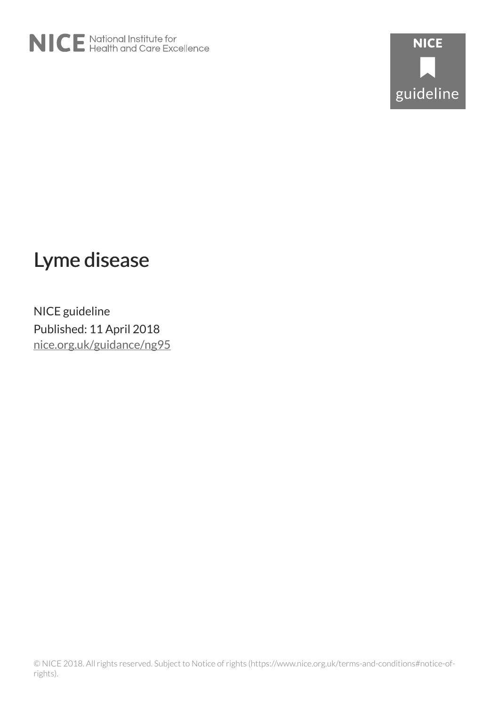



# Lyme disease

NICE guideline Published: 11 April 2018 [nice.org.uk/guidance/ng95](http://nice.org.uk/guidance/ng95)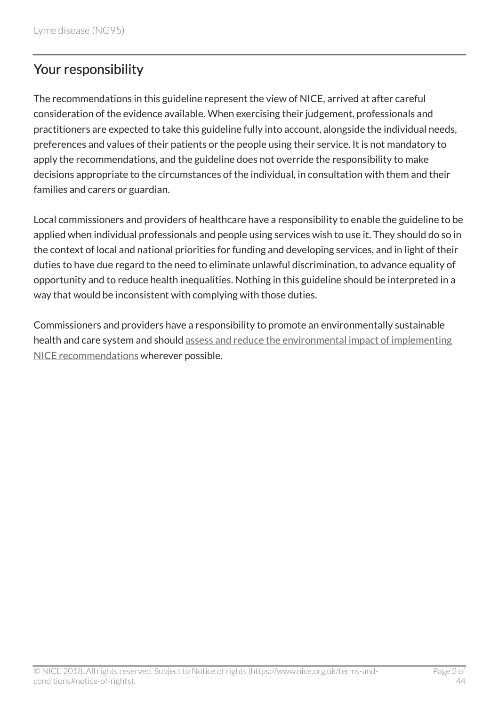# Your responsibility

The recommendations in this guideline represent the view of NICE, arrived at after careful consideration of the evidence available. When exercising their judgement, professionals and practitioners are expected to take this guideline fully into account, alongside the individual needs, preferences and values of their patients or the people using their service. It is not mandatory to apply the recommendations, and the guideline does not override the responsibility to make decisions appropriate to the circumstances of the individual, in consultation with them and their families and carers or guardian.

Local commissioners and providers of healthcare have a responsibility to enable the guideline to be applied when individual professionals and people using services wish to use it. They should do so in the context of local and national priorities for funding and developing services, and in light of their duties to have due regard to the need to eliminate unlawful discrimination, to advance equality of opportunity and to reduce health inequalities. Nothing in this guideline should be interpreted in a way that would be inconsistent with complying with those duties.

Commissioners and providers have a responsibility to promote an environmentally sustainable health and care system and should [assess and reduce the environmental impact of implementing](https://www.nice.org.uk/about/who-we-are/sustainability) [NICE recommendations](https://www.nice.org.uk/about/who-we-are/sustainability) wherever possible.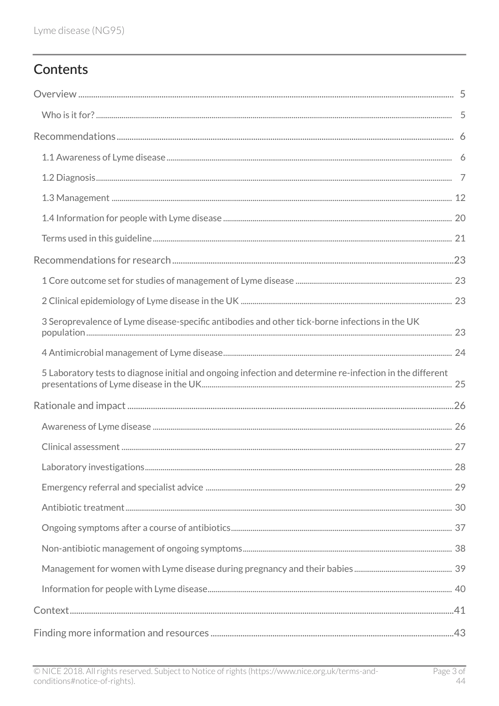# Contents

| 3 Seroprevalence of Lyme disease-specific antibodies and other tick-borne infections in the UK           |  |
|----------------------------------------------------------------------------------------------------------|--|
|                                                                                                          |  |
| 5 Laboratory tests to diagnose initial and ongoing infection and determine re-infection in the different |  |
|                                                                                                          |  |
|                                                                                                          |  |
|                                                                                                          |  |
|                                                                                                          |  |
|                                                                                                          |  |
|                                                                                                          |  |
|                                                                                                          |  |
|                                                                                                          |  |
|                                                                                                          |  |
|                                                                                                          |  |
|                                                                                                          |  |
|                                                                                                          |  |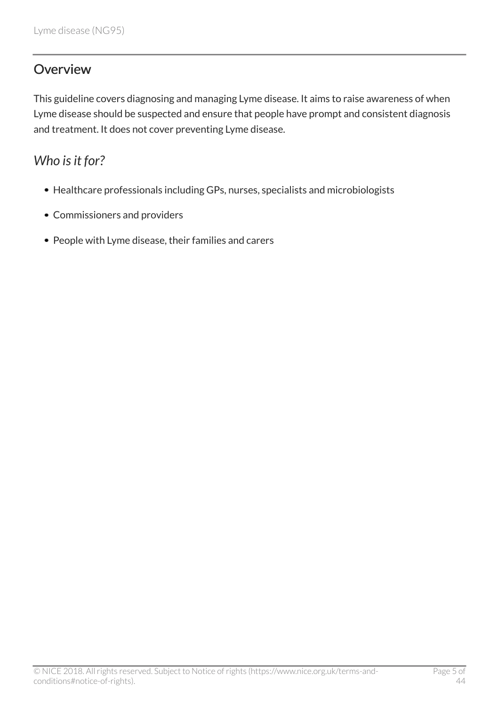# <span id="page-4-0"></span>**Overview**

This guideline covers diagnosing and managing Lyme disease. It aims to raise awareness of when Lyme disease should be suspected and ensure that people have prompt and consistent diagnosis and treatment. It does not cover preventing Lyme disease.

# <span id="page-4-1"></span>*Who is it for?*

- Healthcare professionals including GPs, nurses, specialists and microbiologists
- Commissioners and providers
- People with Lyme disease, their families and carers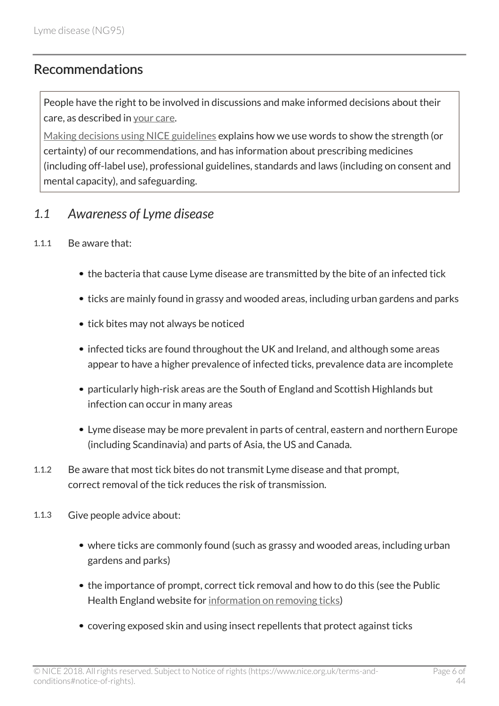### <span id="page-5-0"></span>**Recommendations**

People have the right to be involved in discussions and make informed decisions about their care, as described in [your care](http://www.nice.org.uk/about/nice-communities/public-involvement/your-care).

[Making decisions using NICE guidelines](http://www.nice.org.uk/about/what-we-do/our-programmes/nice-guidance/nice-guidelines/using-NICE-guidelines-to-make-decisions) explains how we use words to show the strength (or certainty) of our recommendations, and has information about prescribing medicines (including off-label use), professional guidelines, standards and laws (including on consent and mental capacity), and safeguarding.

### <span id="page-5-1"></span>*1.1 Awareness of Lyme disease*

#### 1.1.1 Be aware that:

- the bacteria that cause Lyme disease are transmitted by the bite of an infected tick
- ticks are mainly found in grassy and wooded areas, including urban gardens and parks
- tick bites may not always be noticed
- infected ticks are found throughout the UK and Ireland, and although some areas appear to have a higher prevalence of infected ticks, prevalence data are incomplete
- particularly high-risk areas are the South of England and Scottish Highlands but infection can occur in many areas
- Lyme disease may be more prevalent in parts of central, eastern and northern Europe (including Scandinavia) and parts of Asia, the US and Canada.
- 1.1.2 Be aware that most tick bites do not transmit Lyme disease and that prompt, correct removal of the tick reduces the risk of transmission.
- 1.1.3 Give people advice about:
	- where ticks are commonly found (such as grassy and wooded areas, including urban gardens and parks)
	- the importance of prompt, correct tick removal and how to do this (see the Public Health England website for [information on removing ticks](https://www.gov.uk/government/publications/tick-bite-risks-and-prevention-of-lyme-disease))
	- covering exposed skin and using insect repellents that protect against ticks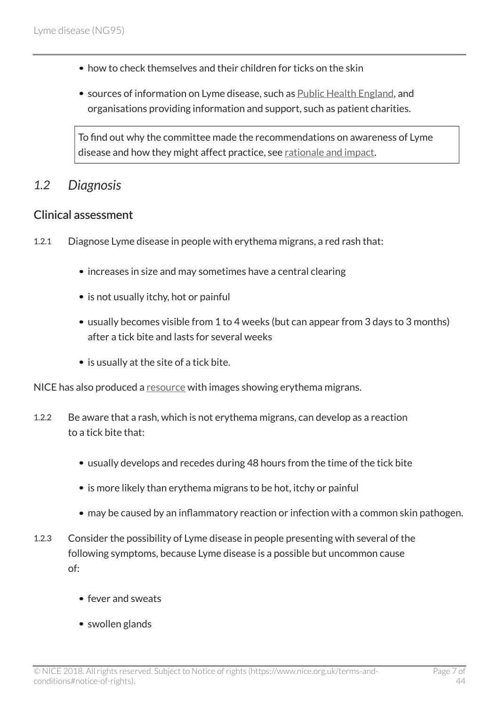- how to check themselves and their children for ticks on the skin
- sources of information on Lyme disease, such as [Public Health England,](https://www.gov.uk/government/collections/lyme-disease-guidance-data-and-analysis) and organisations providing information and support, such as patient charities.

To find out why the committee made the recommendations on awareness of Lyme disease and how they might affect practice, see [rationale and impact](http://live-publications.nice.org.uk/rationale-and-impact#awareness-of-lyme-disease-2).

### <span id="page-6-0"></span>*1.2 Diagnosis*

#### Clinical assessment

- 1.2.1 Diagnose Lyme disease in people with erythema migrans, a red rash that:
	- increases in size and may sometimes have a central clearing
	- is not usually itchy, hot or painful
	- usually becomes visible from 1 to 4 weeks (but can appear from 3 days to 3 months) after a tick bite and lasts for several weeks
	- is usually at the site of a tick bite.

NICE has also produced a [resource](https://www.nice.org.uk/guidance/ng95/resources/lyme-disease-rash-images-pdf-4792273597) with images showing erythema migrans.

- 1.2.2 Be aware that a rash, which is not erythema migrans, can develop as a reaction to a tick bite that:
	- usually develops and recedes during 48 hours from the time of the tick bite
	- is more likely than erythema migrans to be hot, itchy or painful
	- may be caused by an inflammatory reaction or infection with a common skin pathogen.
- 1.2.3 Consider the possibility of Lyme disease in people presenting with several of the following symptoms, because Lyme disease is a possible but uncommon cause of:
	- fever and sweats
	- swollen glands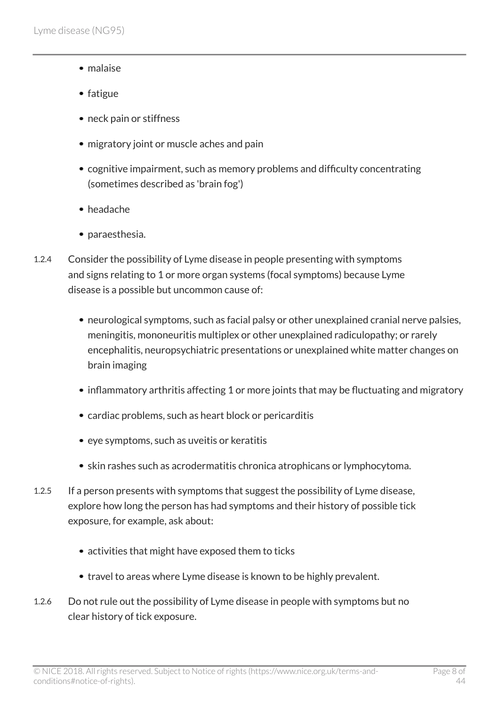- malaise
- $\bullet$  fatigue
- neck pain or stiffness
- migratory joint or muscle aches and pain
- cognitive impairment, such as memory problems and difficulty concentrating (sometimes described as 'brain fog')
- headache
- paraesthesia.
- 1.2.4 Consider the possibility of Lyme disease in people presenting with symptoms and signs relating to 1 or more organ systems (focal symptoms) because Lyme disease is a possible but uncommon cause of:
	- neurological symptoms, such as facial palsy or other unexplained cranial nerve palsies, meningitis, mononeuritis multiplex or other unexplained radiculopathy; or rarely encephalitis, neuropsychiatric presentations or unexplained white matter changes on brain imaging
	- inflammatory arthritis affecting 1 or more joints that may be fluctuating and migratory
	- cardiac problems, such as heart block or pericarditis
	- eye symptoms, such as uveitis or keratitis
	- skin rashes such as acrodermatitis chronica atrophicans or lymphocytoma.
- 1.2.5 If a person presents with symptoms that suggest the possibility of Lyme disease, explore how long the person has had symptoms and their history of possible tick exposure, for example, ask about:
	- activities that might have exposed them to ticks
	- travel to areas where Lyme disease is known to be highly prevalent.
- 1.2.6 Do not rule out the possibility of Lyme disease in people with symptoms but no clear history of tick exposure.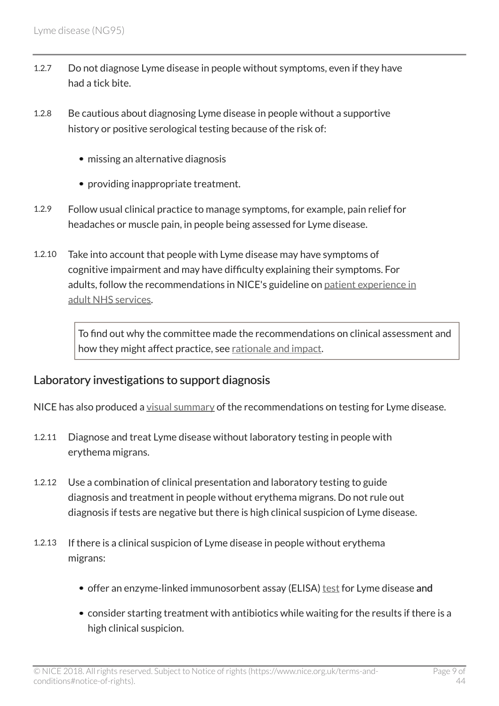- 1.2.7 Do not diagnose Lyme disease in people without symptoms, even if they have had a tick bite.
- 1.2.8 Be cautious about diagnosing Lyme disease in people without a supportive history or positive serological testing because of the risk of:
	- missing an alternative diagnosis
	- providing inappropriate treatment.
- 1.2.9 Follow usual clinical practice to manage symptoms, for example, pain relief for headaches or muscle pain, in people being assessed for Lyme disease.
- 1.2.10 Take into account that people with Lyme disease may have symptoms of cognitive impairment and may have difficulty explaining their symptoms. For adults, follow the recommendations in NICE's guideline on [patient experience in](http://www.nice.org.uk/guidance/cg138) [adult NHS services](http://www.nice.org.uk/guidance/cg138).

To find out why the committee made the recommendations on clinical assessment and how they might affect practice, see [rationale and impact](http://live-publications.nice.org.uk/rationale-and-impact#clinical-assessment-2).

#### Laboratory investigations to support diagnosis

NICE has also produced a [visual summary](https://www.nice.org.uk/guidance/ng95/resources/visual-summary-pdf-4792272301) of the recommendations on testing for Lyme disease.

- 1.2.11 Diagnose and treat Lyme disease without laboratory testing in people with erythema migrans.
- 1.2.12 Use a combination of clinical presentation and laboratory testing to guide diagnosis and treatment in people without erythema migrans. Do not rule out diagnosis if tests are negative but there is high clinical suspicion of Lyme disease.
- 1.2.13 If there is a clinical suspicion of Lyme disease in people without erythema migrans:
	- offer an enzyme-linked immunosorbent assay (ELISA) [test](http://live-publications.nice.org.uk/recommendations#test-for-lyme-disease) for Lyme disease and
	- consider starting treatment with antibiotics while waiting for the results if there is a high clinical suspicion.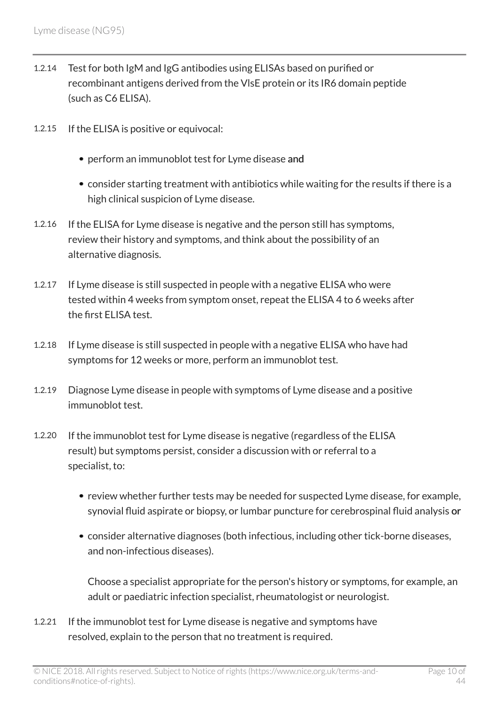- 1.2.14 Test for both IgM and IgG antibodies using ELISAs based on purified or recombinant antigens derived from the VlsE protein or its IR6 domain peptide (such as C6 ELISA).
- 1.2.15 If the ELISA is positive or equivocal:
	- perform an immunoblot test for Lyme disease and
	- consider starting treatment with antibiotics while waiting for the results if there is a high clinical suspicion of Lyme disease.
- 1.2.16 If the ELISA for Lyme disease is negative and the person still has symptoms, review their history and symptoms, and think about the possibility of an alternative diagnosis.
- 1.2.17 If Lyme disease is still suspected in people with a negative ELISA who were tested within 4 weeks from symptom onset, repeat the ELISA 4 to 6 weeks after the first ELISA test.
- 1.2.18 If Lyme disease is still suspected in people with a negative ELISA who have had symptoms for 12 weeks or more, perform an immunoblot test.
- 1.2.19 Diagnose Lyme disease in people with symptoms of Lyme disease and a positive immunoblot test.
- 1.2.20 If the immunoblot test for Lyme disease is negative (regardless of the ELISA result) but symptoms persist, consider a discussion with or referral to a specialist, to:
	- review whether further tests may be needed for suspected Lyme disease, for example, synovial fluid aspirate or biopsy, or lumbar puncture for cerebrospinal fluid analysis or
	- consider alternative diagnoses (both infectious, including other tick-borne diseases, and non-infectious diseases).

Choose a specialist appropriate for the person's history or symptoms, for example, an adult or paediatric infection specialist, rheumatologist or neurologist.

1.2.21 If the immunoblot test for Lyme disease is negative and symptoms have resolved, explain to the person that no treatment is required.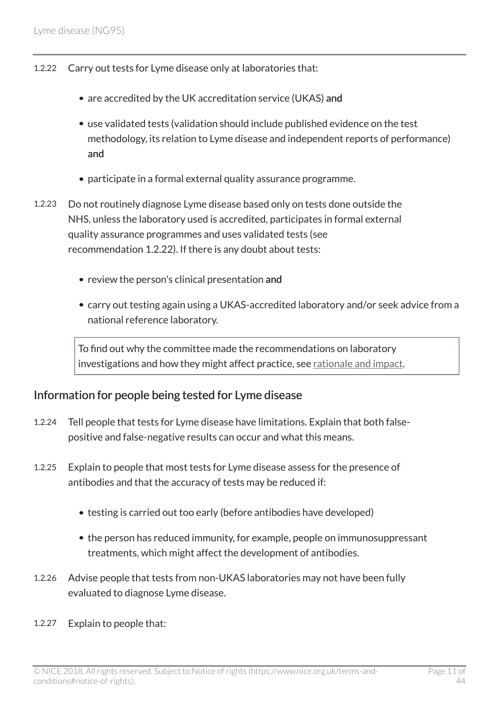- 1.2.22 Carry out tests for Lyme disease only at laboratories that:
	- are accredited by the UK accreditation service (UKAS) and
	- use validated tests (validation should include published evidence on the test methodology, its relation to Lyme disease and independent reports of performance) and
	- participate in a formal external quality assurance programme.
- 1.2.23 Do not routinely diagnose Lyme disease based only on tests done outside the NHS, unless the laboratory used is accredited, participates in formal external quality assurance programmes and uses validated tests (see recommendation 1.2.22). If there is any doubt about tests:
	- review the person's clinical presentation and
	- carry out testing again using a UKAS-accredited laboratory and/or seek advice from a national reference laboratory.

To find out why the committee made the recommendations on laboratory investigations and how they might affect practice, see [rationale and impact](http://live-publications.nice.org.uk/rationale-and-impact#laboratory-investigations).

#### Information for people being tested for Lyme disease

- 1.2.24 Tell people that tests for Lyme disease have limitations. Explain that both falsepositive and false-negative results can occur and what this means.
- 1.2.25 Explain to people that most tests for Lyme disease assess for the presence of antibodies and that the accuracy of tests may be reduced if:
	- testing is carried out too early (before antibodies have developed)
	- the person has reduced immunity, for example, people on immunosuppressant treatments, which might affect the development of antibodies.
- 1.2.26 Advise people that tests from non-UKAS laboratories may not have been fully evaluated to diagnose Lyme disease.
- 1.2.27 Explain to people that: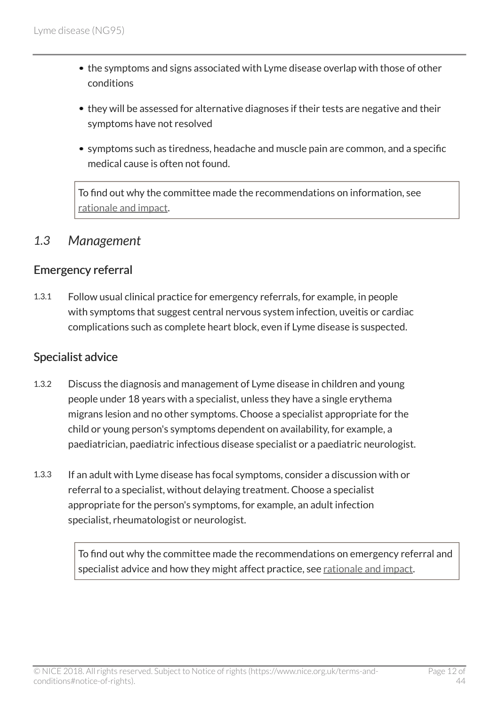- the symptoms and signs associated with Lyme disease overlap with those of other conditions
- they will be assessed for alternative diagnoses if their tests are negative and their symptoms have not resolved
- symptoms such as tiredness, headache and muscle pain are common, and a specific medical cause is often not found.

To find out why the committee made the recommendations on information, see [rationale and impact](http://live-publications.nice.org.uk/rationale-and-impact#information-for-people-with-lyme-disease-2).

### <span id="page-11-0"></span>*1.3 Management*

#### Emergency referral

1.3.1 Follow usual clinical practice for emergency referrals, for example, in people with symptoms that suggest central nervous system infection, uveitis or cardiac complications such as complete heart block, even if Lyme disease is suspected.

#### Specialist advice

- 1.3.2 Discuss the diagnosis and management of Lyme disease in children and young people under 18 years with a specialist, unless they have a single erythema migrans lesion and no other symptoms. Choose a specialist appropriate for the child or young person's symptoms dependent on availability, for example, a paediatrician, paediatric infectious disease specialist or a paediatric neurologist.
- 1.3.3 If an adult with Lyme disease has focal symptoms, consider a discussion with or referral to a specialist, without delaying treatment. Choose a specialist appropriate for the person's symptoms, for example, an adult infection specialist, rheumatologist or neurologist.

To find out why the committee made the recommendations on emergency referral and specialist advice and how they might affect practice, see [rationale and impact](http://live-publications.nice.org.uk/rationale-and-impact#emergency-referral-and-specialist-advice).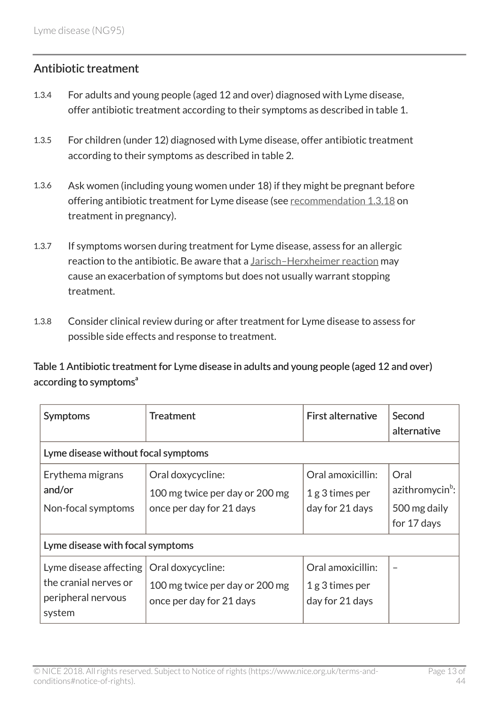#### Antibiotic treatment

- 1.3.4 For adults and young people (aged 12 and over) diagnosed with Lyme disease, offer antibiotic treatment according to their symptoms as described in table 1.
- 1.3.5 For children (under 12) diagnosed with Lyme disease, offer antibiotic treatment according to their symptoms as described in table 2.
- 1.3.6 Ask women (including young women under 18) if they might be pregnant before offering antibiotic treatment for Lyme disease (see [recommendation](http://live-publications.nice.org.uk/recommendations#management-for-women-with-lyme-disease-during-pregnancy-and-their-babies) 1.3.18 on treatment in pregnancy).
- 1.3.7 If symptoms worsen during treatment for Lyme disease, assess for an allergic reaction to the antibiotic. Be aware that a [Jarisch–Herxheimer reaction](http://live-publications.nice.org.uk/recommendations#jarischherxheimer-reaction) may cause an exacerbation of symptoms but does not usually warrant stopping treatment.
- 1.3.8 Consider clinical review during or after treatment for Lyme disease to assess for possible side effects and response to treatment.

Table 1 Antibiotic treatment for Lyme disease in adults and young people (aged 12 and over) according to symptoms<sup>a</sup>

| <b>Symptoms</b>                                                                 | <b>Treatment</b>                                                                | <b>First alternative</b>                                 | Second<br>alternative                                              |  |
|---------------------------------------------------------------------------------|---------------------------------------------------------------------------------|----------------------------------------------------------|--------------------------------------------------------------------|--|
| Lyme disease without focal symptoms                                             |                                                                                 |                                                          |                                                                    |  |
| Erythema migrans<br>and/or<br>Non-focal symptoms                                | Oral doxycycline:<br>100 mg twice per day or 200 mg<br>once per day for 21 days | Oral amoxicillin:<br>$1g$ 3 times per<br>day for 21 days | Oral<br>azithromycin <sup>b</sup> :<br>500 mg daily<br>for 17 days |  |
| Lyme disease with focal symptoms                                                |                                                                                 |                                                          |                                                                    |  |
| Lyme disease affecting<br>the cranial nerves or<br>peripheral nervous<br>system | Oral doxycycline:<br>100 mg twice per day or 200 mg<br>once per day for 21 days | Oral amoxicillin:<br>1g 3 times per<br>day for 21 days   |                                                                    |  |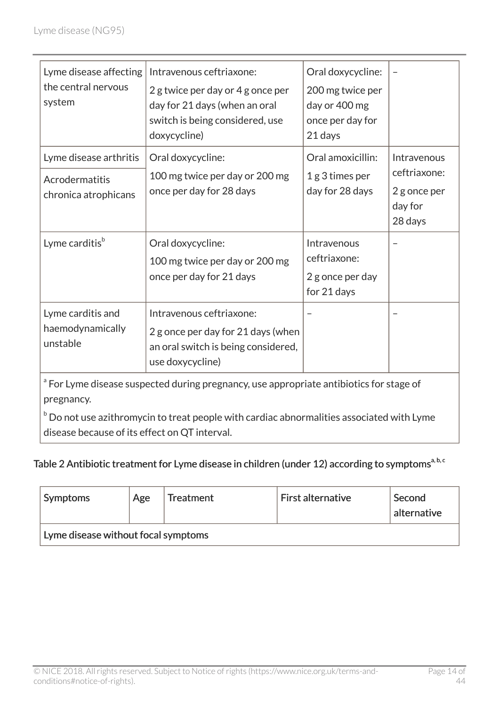| Lyme disease affecting<br>the central nervous<br>system                                           | Intravenous ceftriaxone:<br>2 g twice per day or 4 g once per<br>day for 21 days (when an oral<br>switch is being considered, use<br>doxycycline) | Oral doxycycline:<br>200 mg twice per<br>day or 400 mg<br>once per day for<br>21 days |                                                                   |  |
|---------------------------------------------------------------------------------------------------|---------------------------------------------------------------------------------------------------------------------------------------------------|---------------------------------------------------------------------------------------|-------------------------------------------------------------------|--|
| Lyme disease arthritis<br>Acrodermatitis<br>chronica atrophicans                                  | Oral doxycycline:<br>100 mg twice per day or 200 mg<br>once per day for 28 days                                                                   | Oral amoxicillin:<br>1g 3 times per<br>day for 28 days                                | Intravenous<br>ceftriaxone:<br>2 g once per<br>day for<br>28 days |  |
| Lyme carditis <sup>b</sup>                                                                        | Oral doxycycline:<br>100 mg twice per day or 200 mg<br>once per day for 21 days                                                                   | Intravenous<br>ceftriaxone:<br>2 g once per day<br>for 21 days                        |                                                                   |  |
| Lyme carditis and<br>haemodynamically<br>unstable                                                 | Intravenous ceftriaxone:<br>2 g once per day for 21 days (when<br>an oral switch is being considered,<br>use doxycycline)                         |                                                                                       |                                                                   |  |
| <sup>a</sup> For Lyme disease suspected during pregnancy use appropriate antibiotics for stage of |                                                                                                                                                   |                                                                                       |                                                                   |  |

For Lyme disease suspected during pregnancy, use appropriate antibiotics for stage of pregnancy.

 $b$  Do not use azithromycin to treat people with cardiac abnormalities associated with Lyme disease because of its effect on QT interval.

### Table 2 Antibiotic treatment for Lyme disease in children (under 12) according to symptoms<sup>a, b, c</sup>

| <b>Symptoms</b>                     | Age | Treatment | $\mathsf{F}$ irst alternative | Second<br>alternative |
|-------------------------------------|-----|-----------|-------------------------------|-----------------------|
| Lyme disease without focal symptoms |     |           |                               |                       |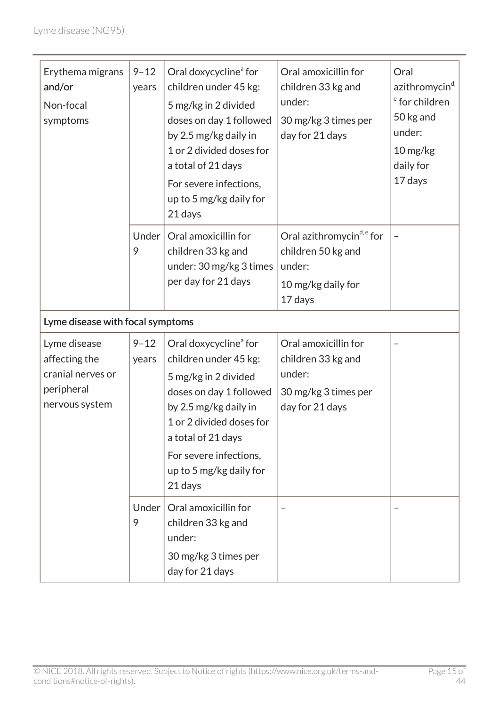| Erythema migrans<br>and/or<br>Non-focal<br>symptoms                                | $9 - 12$<br>years | Oral doxycycline <sup>ª</sup> for<br>children under 45 kg:<br>5 mg/kg in 2 divided<br>doses on day 1 followed<br>by 2.5 mg/kg daily in<br>1 or 2 divided doses for<br>a total of 21 days<br>For severe infections,<br>up to 5 mg/kg daily for<br>21 days | Oral amoxicillin for<br>children 33 kg and<br>under:<br>30 mg/kg 3 times per<br>day for 21 days        | Oral<br>azithromycin <sup>d,</sup><br><sup>e</sup> for children<br>50 kg and<br>under:<br>$10$ mg/kg<br>daily for<br>17 days |
|------------------------------------------------------------------------------------|-------------------|----------------------------------------------------------------------------------------------------------------------------------------------------------------------------------------------------------------------------------------------------------|--------------------------------------------------------------------------------------------------------|------------------------------------------------------------------------------------------------------------------------------|
|                                                                                    | Under<br>9        | Oral amoxicillin for<br>children 33 kg and<br>under: 30 mg/kg 3 times<br>per day for 21 days                                                                                                                                                             | Oral azithromycin <sup>d, e</sup> for<br>children 50 kg and<br>under:<br>10 mg/kg daily for<br>17 days |                                                                                                                              |
| Lyme disease with focal symptoms                                                   |                   |                                                                                                                                                                                                                                                          |                                                                                                        |                                                                                                                              |
| Lyme disease<br>affecting the<br>cranial nerves or<br>peripheral<br>nervous system | $9 - 12$<br>years | Oral doxycycline <sup>ª</sup> for<br>children under 45 kg:<br>5 mg/kg in 2 divided<br>doses on day 1 followed<br>by 2.5 mg/kg daily in<br>1 or 2 divided doses for<br>a total of 21 days<br>For severe infections,<br>up to 5 mg/kg daily for<br>21 days | Oral amoxicillin for<br>children 33 kg and<br>under:<br>30 mg/kg 3 times per<br>day for 21 days        |                                                                                                                              |
|                                                                                    | Under<br>9        | Oral amoxicillin for<br>children 33 kg and<br>under:<br>30 mg/kg 3 times per<br>day for 21 days                                                                                                                                                          |                                                                                                        |                                                                                                                              |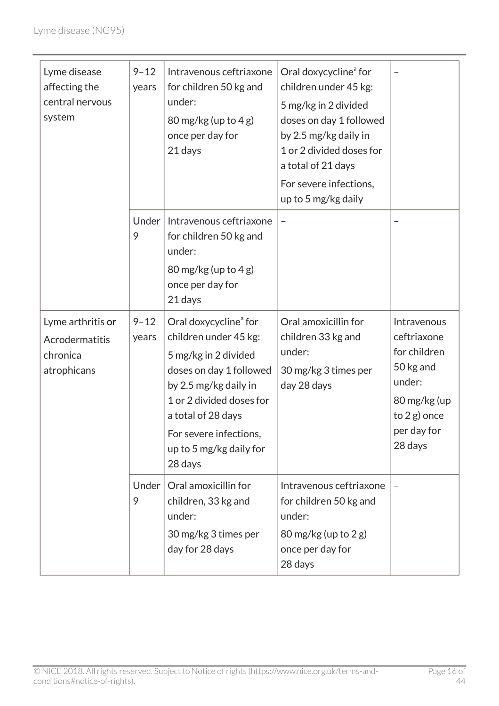| Lyme disease<br>affecting the<br>central nervous<br>system     | $9 - 12$<br>years | Intravenous ceftriaxone<br>for children 50 kg and<br>under:<br>80 mg/kg (up to 4 g)<br>once per day for<br>21 days                                                                                                                                       | Oral doxycycline <sup>ª</sup> for<br>children under 45 kg:<br>5 mg/kg in 2 divided<br>doses on day 1 followed<br>by 2.5 mg/kg daily in<br>1 or 2 divided doses for<br>a total of 21 days<br>For severe infections,<br>up to 5 mg/kg daily |                                                                                                                                |
|----------------------------------------------------------------|-------------------|----------------------------------------------------------------------------------------------------------------------------------------------------------------------------------------------------------------------------------------------------------|-------------------------------------------------------------------------------------------------------------------------------------------------------------------------------------------------------------------------------------------|--------------------------------------------------------------------------------------------------------------------------------|
|                                                                | Under<br>9        | Intravenous ceftriaxone<br>for children 50 kg and<br>under:<br>80 mg/kg (up to $4 g$ )<br>once per day for<br>21 days                                                                                                                                    |                                                                                                                                                                                                                                           |                                                                                                                                |
| Lyme arthritis or<br>Acrodermatitis<br>chronica<br>atrophicans | $9 - 12$<br>years | Oral doxycycline <sup>ª</sup> for<br>children under 45 kg:<br>5 mg/kg in 2 divided<br>doses on day 1 followed<br>by 2.5 mg/kg daily in<br>1 or 2 divided doses for<br>a total of 28 days<br>For severe infections,<br>up to 5 mg/kg daily for<br>28 days | Oral amoxicillin for<br>children 33 kg and<br>under:<br>30 mg/kg 3 times per<br>day 28 days                                                                                                                                               | Intravenous<br>ceftriaxone<br>for children<br>50 kg and<br>under:<br>80 mg/kg (up<br>to $2 g$ ) once<br>per day for<br>28 days |
|                                                                | Under<br>9        | Oral amoxicillin for<br>children, 33 kg and<br>under:<br>30 mg/kg 3 times per<br>day for 28 days                                                                                                                                                         | Intravenous ceftriaxone<br>for children 50 kg and<br>under:<br>80 mg/kg (up to 2 g)<br>once per day for<br>28 days                                                                                                                        |                                                                                                                                |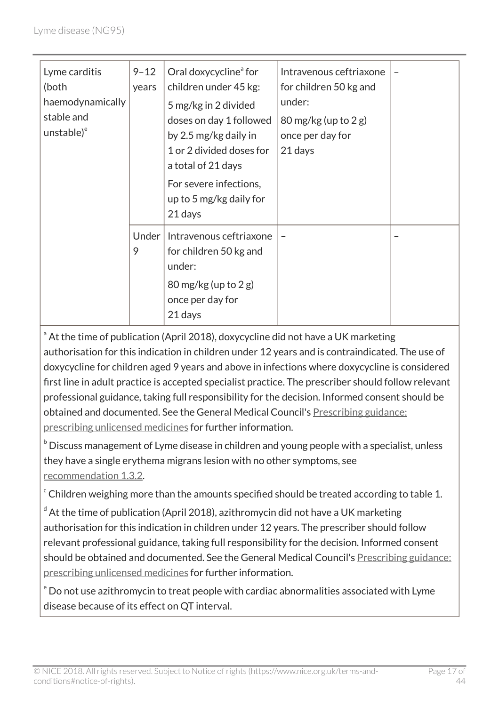| Lyme carditis<br>(both<br>haemodynamically<br>stable and<br>unstable) <sup>e</sup> | $9 - 12$<br>years | Oral doxycycline <sup>ª</sup> for<br>children under 45 kg:<br>5 mg/kg in 2 divided<br>doses on day 1 followed<br>by 2.5 mg/kg daily in<br>1 or 2 divided doses for<br>a total of 21 days<br>For severe infections,<br>up to 5 mg/kg daily for<br>21 days | Intravenous ceftriaxone<br>for children 50 kg and<br>under:<br>80 mg/kg (up to 2 g)<br>once per day for<br>21 days |  |
|------------------------------------------------------------------------------------|-------------------|----------------------------------------------------------------------------------------------------------------------------------------------------------------------------------------------------------------------------------------------------------|--------------------------------------------------------------------------------------------------------------------|--|
|                                                                                    | Under<br>9        | Intravenous ceftriaxone<br>for children 50 kg and<br>under:<br>$80 \,\text{mg/kg}$ (up to 2 g)<br>once per day for<br>21 days                                                                                                                            | $\overline{\phantom{m}}$                                                                                           |  |

<sup>a</sup> At the time of publication (April 2018), doxycycline did not have a UK marketing authorisation for this indication in children under 12 years and is contraindicated. The use of doxycycline for children aged 9 years and above in infections where doxycycline is considered first line in adult practice is accepted specialist practice. The prescriber should follow relevant professional guidance, taking full responsibility for the decision. Informed consent should be obtained and documented. See the General Medical Council's [Prescribing guidance:](http://www.gmc-uk.org/guidance/ethical_guidance/14327.asp) [prescribing unlicensed medicines](http://www.gmc-uk.org/guidance/ethical_guidance/14327.asp) for further information.

 $b$  Discuss management of Lyme disease in children and young people with a specialist, unless they have a single erythema migrans lesion with no other symptoms, see [recommendation](http://live-publications.nice.org.uk/recommendations#specialist-advice) 1.3.2.

 $\degree$  Children weighing more than the amounts specified should be treated according to table 1.

 $d$  At the time of publication (April 2018), azithromycin did not have a UK marketing authorisation for this indication in children under 12 years. The prescriber should follow relevant professional guidance, taking full responsibility for the decision. Informed consent should be obtained and documented. See the General Medical Council's [Prescribing guidance:](http://www.gmc-uk.org/guidance/ethical_guidance/14327.asp) [prescribing unlicensed medicines](http://www.gmc-uk.org/guidance/ethical_guidance/14327.asp) for further information.

<sup>e</sup> Do not use azithromycin to treat people with cardiac abnormalities associated with Lyme disease because of its effect on QT interval.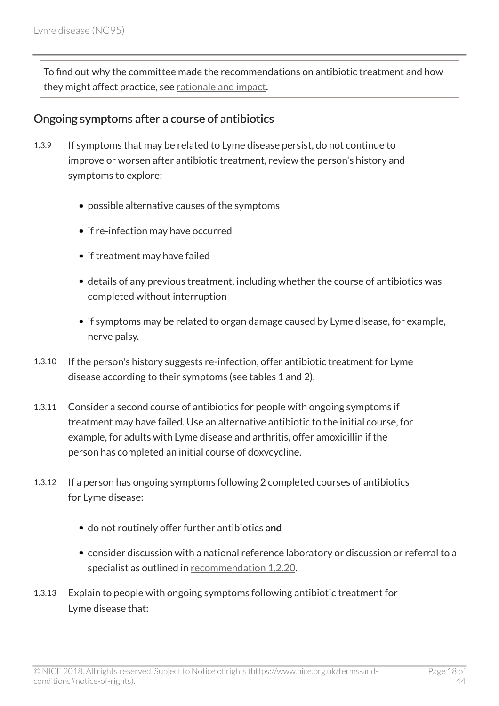To find out why the committee made the recommendations on antibiotic treatment and how they might affect practice, see [rationale and impact](http://live-publications.nice.org.uk/rationale-and-impact#antibiotic-treatment-2).

#### Ongoing symptoms after a course of antibiotics

- 1.3.9 If symptoms that may be related to Lyme disease persist, do not continue to improve or worsen after antibiotic treatment, review the person's history and symptoms to explore:
	- possible alternative causes of the symptoms
	- if re-infection may have occurred
	- if treatment may have failed
	- details of any previous treatment, including whether the course of antibiotics was completed without interruption
	- if symptoms may be related to organ damage caused by Lyme disease, for example, nerve palsy.
- 1.3.10 If the person's history suggests re-infection, offer antibiotic treatment for Lyme disease according to their symptoms (see tables 1 and 2).
- 1.3.11 Consider a second course of antibiotics for people with ongoing symptoms if treatment may have failed. Use an alternative antibiotic to the initial course, for example, for adults with Lyme disease and arthritis, offer amoxicillin if the person has completed an initial course of doxycycline.
- 1.3.12 If a person has ongoing symptoms following 2 completed courses of antibiotics for Lyme disease:
	- do not routinely offer further antibiotics and
	- consider discussion with a national reference laboratory or discussion or referral to a specialist as outlined in [recommendation](http://live-publications.nice.org.uk/recommendations#laboratory-investigations-to-support-diagnosis) 1.2.20.
- 1.3.13 Explain to people with ongoing symptoms following antibiotic treatment for Lyme disease that: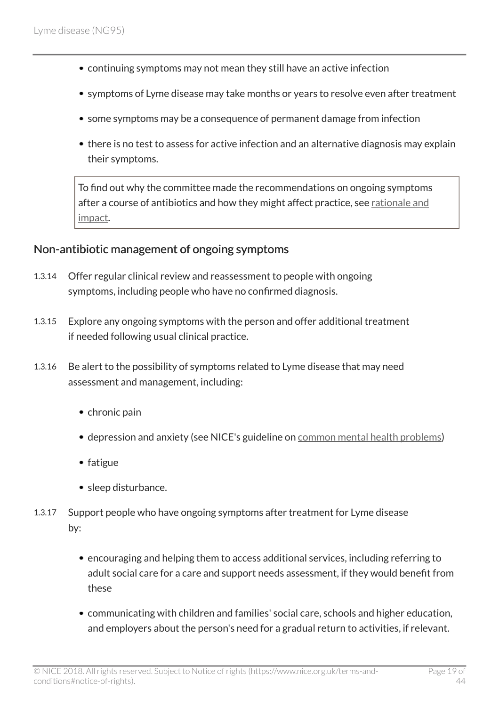- continuing symptoms may not mean they still have an active infection
- symptoms of Lyme disease may take months or years to resolve even after treatment
- some symptoms may be a consequence of permanent damage from infection
- there is no test to assess for active infection and an alternative diagnosis may explain their symptoms.

To find out why the committee made the recommendations on ongoing symptoms after a course of antibiotics and how they might affect practice, see [rationale and](http://live-publications.nice.org.uk/rationale-and-impact#ongoing-symptoms-after-a-course-of-antibiotics-2) [impact.](http://live-publications.nice.org.uk/rationale-and-impact#ongoing-symptoms-after-a-course-of-antibiotics-2)

#### Non-antibiotic management of ongoing symptoms

- 1.3.14 Offer regular clinical review and reassessment to people with ongoing symptoms, including people who have no confirmed diagnosis.
- 1.3.15 Explore any ongoing symptoms with the person and offer additional treatment if needed following usual clinical practice.
- 1.3.16 Be alert to the possibility of symptoms related to Lyme disease that may need assessment and management, including:
	- chronic pain
	- depression and anxiety (see NICE's guideline on [common mental health problems](http://www.nice.org.uk/guidance/cg123))
	- fatigue
	- sleep disturbance.
- 1.3.17 Support people who have ongoing symptoms after treatment for Lyme disease by:
	- encouraging and helping them to access additional services, including referring to adult social care for a care and support needs assessment, if they would benefit from these
	- communicating with children and families' social care, schools and higher education, and employers about the person's need for a gradual return to activities, if relevant.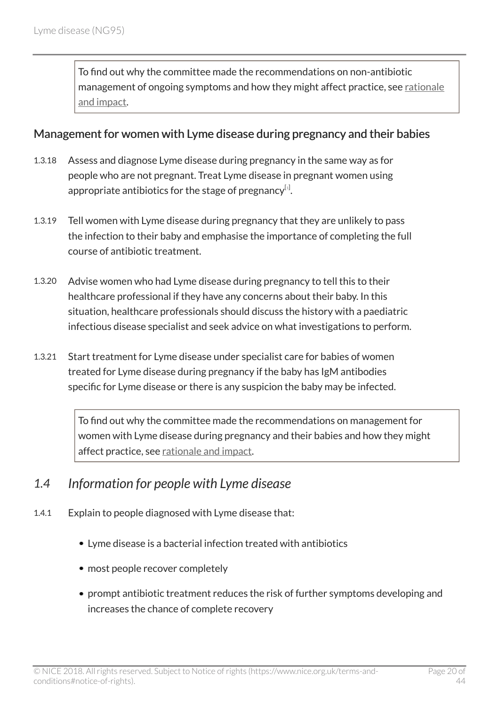To find out why the committee made the recommendations on non-antibiotic management of ongoing symptoms and how they might affect practice, see [rationale](http://live-publications.nice.org.uk/rationale-and-impact#non-antibiotic-management-of-ongoing-symptoms-2) [and impact.](http://live-publications.nice.org.uk/rationale-and-impact#non-antibiotic-management-of-ongoing-symptoms-2)

#### Management for women with Lyme disease during pregnancy and their babies

- 1.3.18 Assess and diagnose Lyme disease during pregnancy in the same way as for people who are not pregnant. Treat Lyme disease in pregnant women using appropriate antibiotics for the stage of pregnancy $^{\lbrack\!\lbrack\cdot\rbrack}$ .
- <span id="page-19-1"></span>1.3.19 Tell women with Lyme disease during pregnancy that they are unlikely to pass the infection to their baby and emphasise the importance of completing the full course of antibiotic treatment.
- 1.3.20 Advise women who had Lyme disease during pregnancy to tell this to their healthcare professional if they have any concerns about their baby. In this situation, healthcare professionals should discuss the history with a paediatric infectious disease specialist and seek advice on what investigations to perform.
- 1.3.21 Start treatment for Lyme disease under specialist care for babies of women treated for Lyme disease during pregnancy if the baby has IgM antibodies specific for Lyme disease or there is any suspicion the baby may be infected.

To find out why the committee made the recommendations on management for women with Lyme disease during pregnancy and their babies and how they might affect practice, see [rationale and impact](http://live-publications.nice.org.uk/rationale-and-impact#management-for-women-with-lyme-disease-during-pregnancy-and-their-babies-2).

### <span id="page-19-0"></span>*1.4 Information for people with Lyme disease*

- 1.4.1 Explain to people diagnosed with Lyme disease that:
	- Lyme disease is a bacterial infection treated with antibiotics
	- most people recover completely
	- prompt antibiotic treatment reduces the risk of further symptoms developing and increases the chance of complete recovery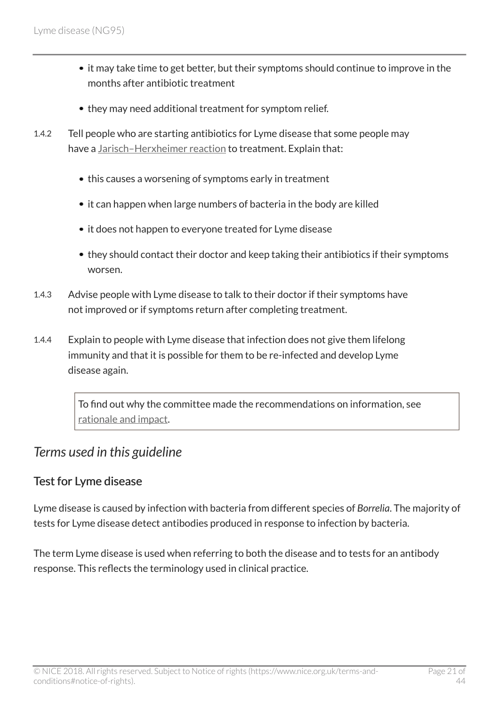- it may take time to get better, but their symptoms should continue to improve in the months after antibiotic treatment
- they may need additional treatment for symptom relief.
- 1.4.2 Tell people who are starting antibiotics for Lyme disease that some people may have a Jarisch-Herxheimer reaction to treatment. Explain that:
	- this causes a worsening of symptoms early in treatment
	- it can happen when large numbers of bacteria in the body are killed
	- it does not happen to everyone treated for Lyme disease
	- they should contact their doctor and keep taking their antibiotics if their symptoms worsen.
- 1.4.3 Advise people with Lyme disease to talk to their doctor if their symptoms have not improved or if symptoms return after completing treatment.
- 1.4.4 Explain to people with Lyme disease that infection does not give them lifelong immunity and that it is possible for them to be re-infected and develop Lyme disease again.

To find out why the committee made the recommendations on information, see [rationale and impact](http://live-publications.nice.org.uk/rationale-and-impact#information-for-people-with-lyme-disease-2).

### <span id="page-20-0"></span>*Terms used in this guideline*

#### Test for Lyme disease

Lyme disease is caused by infection with bacteria from different species of *Borrelia*. The majority of tests for Lyme disease detect antibodies produced in response to infection by bacteria.

The term Lyme disease is used when referring to both the disease and to tests for an antibody response. This reflects the terminology used in clinical practice.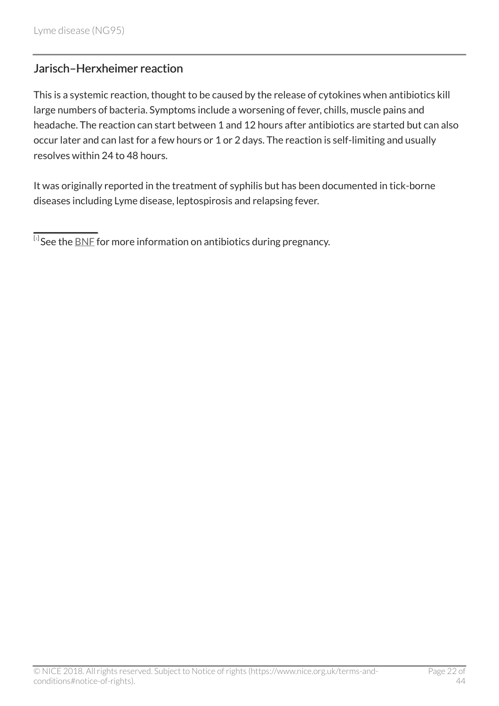### Jarisch–Herxheimer reaction

This is a systemic reaction, thought to be caused by the release of cytokines when antibiotics kill large numbers of bacteria. Symptoms include a worsening of fever, chills, muscle pains and headache. The reaction can start between 1 and 12 hours after antibiotics are started but can also occur later and can last for a few hours or 1 or 2 days. The reaction is self-limiting and usually resolves within 24 to 48 hours.

It was originally reported in the treatment of syphilis but has been documented in tick-borne diseases including Lyme disease, leptospirosis and relapsing fever.

<span id="page-21-0"></span> $^{\left[ \cdot\right] }$ See the  $\underline{\mathsf{BNF}}$  $\underline{\mathsf{BNF}}$  $\underline{\mathsf{BNF}}$  for more information on antibiotics during pregnancy.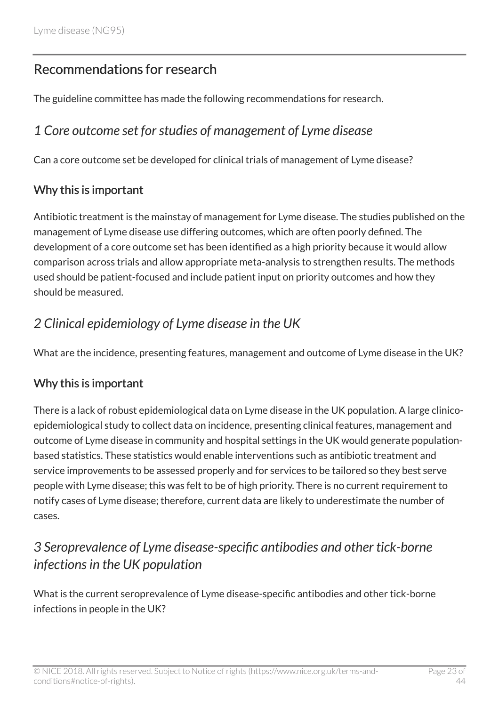# <span id="page-22-0"></span>Recommendations for research

The guideline committee has made the following recommendations for research.

## <span id="page-22-1"></span>*1 Core outcome set for studies of management of Lyme disease*

Can a core outcome set be developed for clinical trials of management of Lyme disease?

#### Why this is important

Antibiotic treatment is the mainstay of management for Lyme disease. The studies published on the management of Lyme disease use differing outcomes, which are often poorly defined. The development of a core outcome set has been identified as a high priority because it would allow comparison across trials and allow appropriate meta-analysis to strengthen results. The methods used should be patient-focused and include patient input on priority outcomes and how they should be measured.

# <span id="page-22-2"></span>*2 Clinical epidemiology of Lyme disease in the UK*

What are the incidence, presenting features, management and outcome of Lyme disease in the UK?

### Why this is important

There is a lack of robust epidemiological data on Lyme disease in the UK population. A large clinicoepidemiological study to collect data on incidence, presenting clinical features, management and outcome of Lyme disease in community and hospital settings in the UK would generate populationbased statistics. These statistics would enable interventions such as antibiotic treatment and service improvements to be assessed properly and for services to be tailored so they best serve people with Lyme disease; this was felt to be of high priority. There is no current requirement to notify cases of Lyme disease; therefore, current data are likely to underestimate the number of cases.

# <span id="page-22-3"></span>*3 Seroprevalence of Lyme disease-specific antibodies and other tick-borne infections in the UK population*

What is the current seroprevalence of Lyme disease-specific antibodies and other tick-borne infections in people in the UK?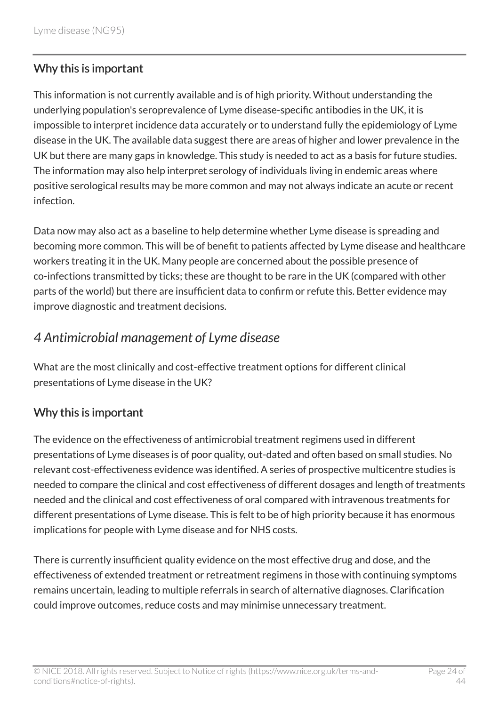### Why this is important

This information is not currently available and is of high priority. Without understanding the underlying population's seroprevalence of Lyme disease-specific antibodies in the UK, it is impossible to interpret incidence data accurately or to understand fully the epidemiology of Lyme disease in the UK. The available data suggest there are areas of higher and lower prevalence in the UK but there are many gaps in knowledge. This study is needed to act as a basis for future studies. The information may also help interpret serology of individuals living in endemic areas where positive serological results may be more common and may not always indicate an acute or recent infection.

Data now may also act as a baseline to help determine whether Lyme disease is spreading and becoming more common. This will be of benefit to patients affected by Lyme disease and healthcare workers treating it in the UK. Many people are concerned about the possible presence of co-infections transmitted by ticks; these are thought to be rare in the UK (compared with other parts of the world) but there are insufficient data to confirm or refute this. Better evidence may improve diagnostic and treatment decisions.

# <span id="page-23-0"></span>*4 Antimicrobial management of Lyme disease*

What are the most clinically and cost-effective treatment options for different clinical presentations of Lyme disease in the UK?

### Why this is important

The evidence on the effectiveness of antimicrobial treatment regimens used in different presentations of Lyme diseases is of poor quality, out-dated and often based on small studies. No relevant cost-effectiveness evidence was identified. A series of prospective multicentre studies is needed to compare the clinical and cost effectiveness of different dosages and length of treatments needed and the clinical and cost effectiveness of oral compared with intravenous treatments for different presentations of Lyme disease. This is felt to be of high priority because it has enormous implications for people with Lyme disease and for NHS costs.

There is currently insufficient quality evidence on the most effective drug and dose, and the effectiveness of extended treatment or retreatment regimens in those with continuing symptoms remains uncertain, leading to multiple referrals in search of alternative diagnoses. Clarification could improve outcomes, reduce costs and may minimise unnecessary treatment.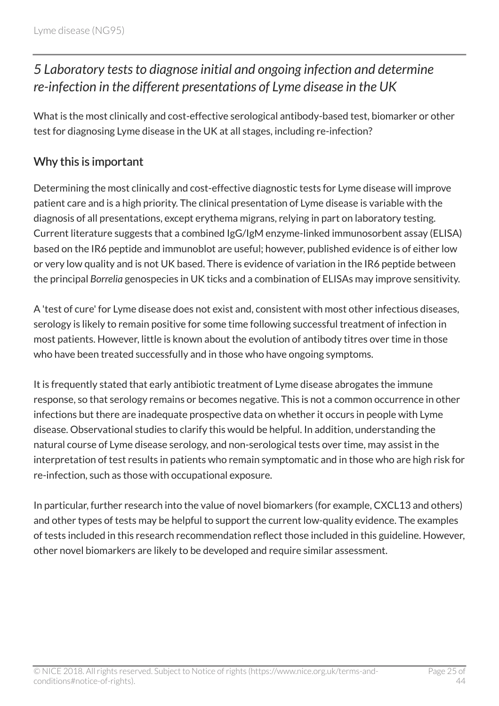# <span id="page-24-0"></span>*5 Laboratory tests to diagnose initial and ongoing infection and determine re-infection in the different presentations of Lyme disease in the UK*

What is the most clinically and cost-effective serological antibody-based test, biomarker or other test for diagnosing Lyme disease in the UK at all stages, including re-infection?

### Why this is important

Determining the most clinically and cost-effective diagnostic tests for Lyme disease will improve patient care and is a high priority. The clinical presentation of Lyme disease is variable with the diagnosis of all presentations, except erythema migrans, relying in part on laboratory testing. Current literature suggests that a combined IgG/IgM enzyme-linked immunosorbent assay (ELISA) based on the IR6 peptide and immunoblot are useful; however, published evidence is of either low or very low quality and is not UK based. There is evidence of variation in the IR6 peptide between the principal *Borrelia* genospecies in UK ticks and a combination of ELISAs may improve sensitivity.

A 'test of cure' for Lyme disease does not exist and, consistent with most other infectious diseases, serology is likely to remain positive for some time following successful treatment of infection in most patients. However, little is known about the evolution of antibody titres over time in those who have been treated successfully and in those who have ongoing symptoms.

It is frequently stated that early antibiotic treatment of Lyme disease abrogates the immune response, so that serology remains or becomes negative. This is not a common occurrence in other infections but there are inadequate prospective data on whether it occurs in people with Lyme disease. Observational studies to clarify this would be helpful. In addition, understanding the natural course of Lyme disease serology, and non-serological tests over time, may assist in the interpretation of test results in patients who remain symptomatic and in those who are high risk for re-infection, such as those with occupational exposure.

In particular, further research into the value of novel biomarkers (for example, CXCL13 and others) and other types of tests may be helpful to support the current low-quality evidence. The examples of tests included in this research recommendation reflect those included in this guideline. However, other novel biomarkers are likely to be developed and require similar assessment.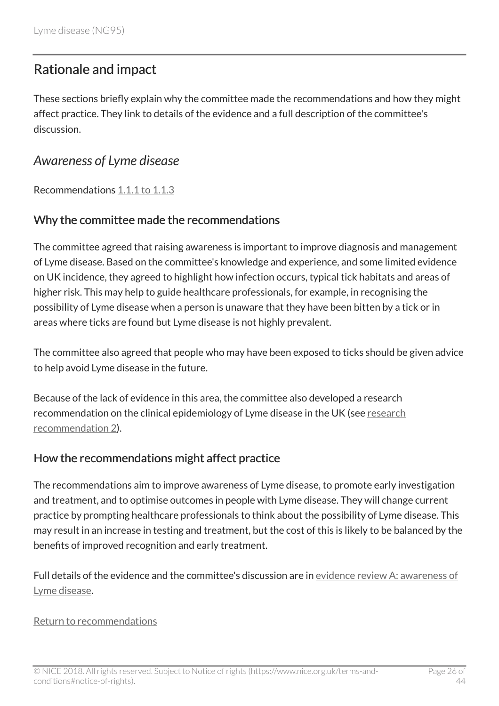### <span id="page-25-0"></span>Rationale and impact

These sections briefly explain why the committee made the recommendations and how they might affect practice. They link to details of the evidence and a full description of the committee's discussion.

### <span id="page-25-1"></span>*Awareness of Lyme disease*

Recommendations [1.1.1 to 1.1.3](http://live-publications.nice.org.uk/recommendations#awareness-of-lyme-disease)

#### Why the committee made the recommendations

The committee agreed that raising awareness is important to improve diagnosis and management of Lyme disease. Based on the committee's knowledge and experience, and some limited evidence on UK incidence, they agreed to highlight how infection occurs, typical tick habitats and areas of higher risk. This may help to guide healthcare professionals, for example, in recognising the possibility of Lyme disease when a person is unaware that they have been bitten by a tick or in areas where ticks are found but Lyme disease is not highly prevalent.

The committee also agreed that people who may have been exposed to ticks should be given advice to help avoid Lyme disease in the future.

Because of the lack of evidence in this area, the committee also developed a research recommendation on the clinical epidemiology of Lyme disease in the UK (see [research](http://live-publications.nice.org.uk/recommendations-for-research#2-clinical-epidemiology-of-lyme-disease-in-the-uk) [recommendation](http://live-publications.nice.org.uk/recommendations-for-research#2-clinical-epidemiology-of-lyme-disease-in-the-uk) 2).

#### How the recommendations might affect practice

The recommendations aim to improve awareness of Lyme disease, to promote early investigation and treatment, and to optimise outcomes in people with Lyme disease. They will change current practice by prompting healthcare professionals to think about the possibility of Lyme disease. This may result in an increase in testing and treatment, but the cost of this is likely to be balanced by the benefits of improved recognition and early treatment.

Full details of the evidence and the committee's discussion are in [evidence review](https://www.nice.org.uk/guidance/ng95/evidence/a-awareness-of-lyme-disease-pdf-4792271006) A: awareness of [Lyme disease.](https://www.nice.org.uk/guidance/ng95/evidence/a-awareness-of-lyme-disease-pdf-4792271006)

#### [Return to recommendations](http://live-publications.nice.org.uk/recommendations#awareness-of-lyme-disease)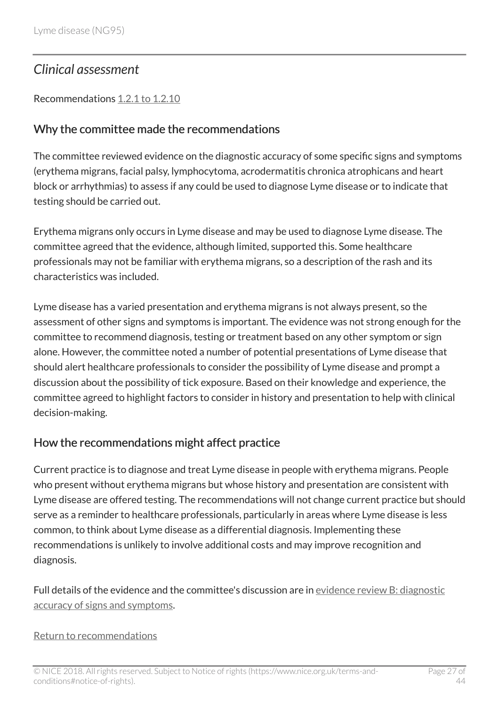# <span id="page-26-0"></span>*Clinical assessment*

Recommendations [1.2.1 to 1.2.10](http://live-publications.nice.org.uk/recommendations#clinical-assessment)

#### Why the committee made the recommendations

The committee reviewed evidence on the diagnostic accuracy of some specific signs and symptoms (erythema migrans, facial palsy, lymphocytoma, acrodermatitis chronica atrophicans and heart block or arrhythmias) to assess if any could be used to diagnose Lyme disease or to indicate that testing should be carried out.

Erythema migrans only occurs in Lyme disease and may be used to diagnose Lyme disease. The committee agreed that the evidence, although limited, supported this. Some healthcare professionals may not be familiar with erythema migrans, so a description of the rash and its characteristics was included.

Lyme disease has a varied presentation and erythema migrans is not always present, so the assessment of other signs and symptoms is important. The evidence was not strong enough for the committee to recommend diagnosis, testing or treatment based on any other symptom or sign alone. However, the committee noted a number of potential presentations of Lyme disease that should alert healthcare professionals to consider the possibility of Lyme disease and prompt a discussion about the possibility of tick exposure. Based on their knowledge and experience, the committee agreed to highlight factors to consider in history and presentation to help with clinical decision-making.

#### How the recommendations might affect practice

Current practice is to diagnose and treat Lyme disease in people with erythema migrans. People who present without erythema migrans but whose history and presentation are consistent with Lyme disease are offered testing. The recommendations will not change current practice but should serve as a reminder to healthcare professionals, particularly in areas where Lyme disease is less common, to think about Lyme disease as a differential diagnosis. Implementing these recommendations is unlikely to involve additional costs and may improve recognition and diagnosis.

Full details of the evidence and the committee's discussion are in [evidence review](https://www.nice.org.uk/guidance/ng95/evidence/b-diagnostic-accuracy-of-signs-and-symptoms-pdf-4792271007) B: diagnostic [accuracy of signs and symptoms](https://www.nice.org.uk/guidance/ng95/evidence/b-diagnostic-accuracy-of-signs-and-symptoms-pdf-4792271007).

#### [Return to recommendations](http://live-publications.nice.org.uk/recommendations#clinical-assessment)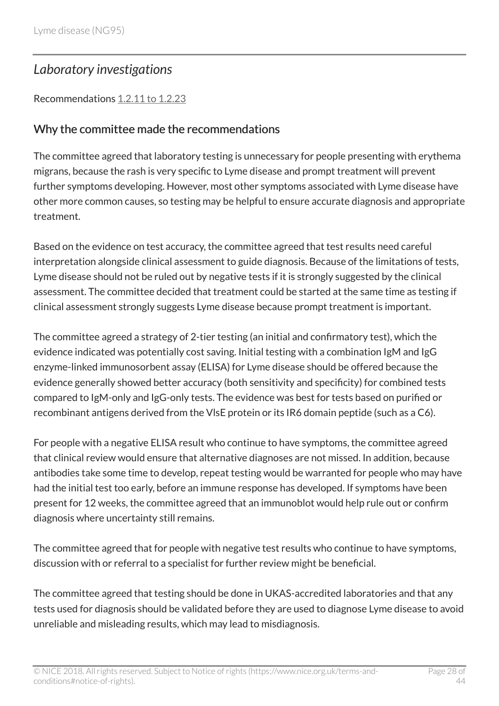### <span id="page-27-0"></span>*Laboratory investigations*

#### Recommendations [1.2.11 to 1.2.23](http://live-publications.nice.org.uk/recommendations#laboratory-investigations-to-support-diagnosis)

#### Why the committee made the recommendations

The committee agreed that laboratory testing is unnecessary for people presenting with erythema migrans, because the rash is very specific to Lyme disease and prompt treatment will prevent further symptoms developing. However, most other symptoms associated with Lyme disease have other more common causes, so testing may be helpful to ensure accurate diagnosis and appropriate treatment.

Based on the evidence on test accuracy, the committee agreed that test results need careful interpretation alongside clinical assessment to guide diagnosis. Because of the limitations of tests, Lyme disease should not be ruled out by negative tests if it is strongly suggested by the clinical assessment. The committee decided that treatment could be started at the same time as testing if clinical assessment strongly suggests Lyme disease because prompt treatment is important.

The committee agreed a strategy of 2-tier testing (an initial and confirmatory test), which the evidence indicated was potentially cost saving. Initial testing with a combination IgM and IgG enzyme-linked immunosorbent assay (ELISA) for Lyme disease should be offered because the evidence generally showed better accuracy (both sensitivity and specificity) for combined tests compared to IgM-only and IgG-only tests. The evidence was best for tests based on purified or recombinant antigens derived from the VlsE protein or its IR6 domain peptide (such as a C6).

For people with a negative ELISA result who continue to have symptoms, the committee agreed that clinical review would ensure that alternative diagnoses are not missed. In addition, because antibodies take some time to develop, repeat testing would be warranted for people who may have had the initial test too early, before an immune response has developed. If symptoms have been present for 12 weeks, the committee agreed that an immunoblot would help rule out or confirm diagnosis where uncertainty still remains.

The committee agreed that for people with negative test results who continue to have symptoms, discussion with or referral to a specialist for further review might be beneficial.

The committee agreed that testing should be done in UKAS-accredited laboratories and that any tests used for diagnosis should be validated before they are used to diagnose Lyme disease to avoid unreliable and misleading results, which may lead to misdiagnosis.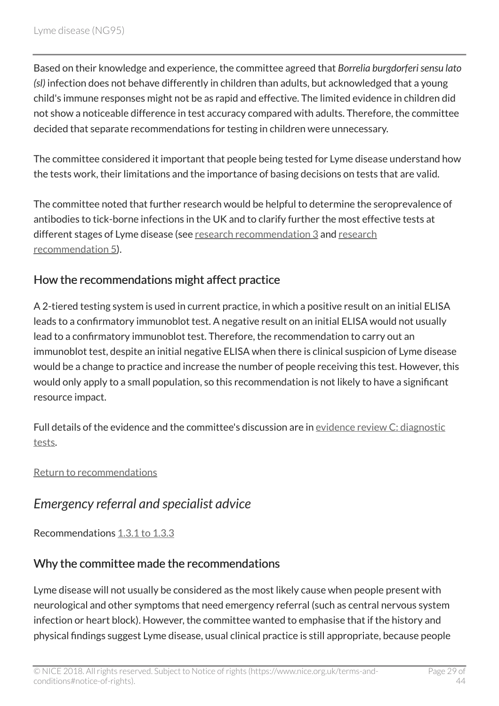Based on their knowledge and experience, the committee agreed that *Borrelia burgdorferi sensu lato (sl)* infection does not behave differently in children than adults, but acknowledged that a young child's immune responses might not be as rapid and effective. The limited evidence in children did not show a noticeable difference in test accuracy compared with adults. Therefore, the committee decided that separate recommendations for testing in children were unnecessary.

The committee considered it important that people being tested for Lyme disease understand how the tests work, their limitations and the importance of basing decisions on tests that are valid.

The committee noted that further research would be helpful to determine the seroprevalence of antibodies to tick-borne infections in the UK and to clarify further the most effective tests at different stages of Lyme disease (see [research recommendation](http://live-publications.nice.org.uk/recommendations-for-research#3-seroprevalence-of-lyme-disease-specific-antibodies-and-other-tick-borne-infections-in-the-uk) 3 and [research](http://live-publications.nice.org.uk/recommendations-for-research#5-laboratory-tests-to-diagnose-initial-and-ongoing-infection-and-determine-reinfection-in-the) [recommendation](http://live-publications.nice.org.uk/recommendations-for-research#5-laboratory-tests-to-diagnose-initial-and-ongoing-infection-and-determine-reinfection-in-the) 5).

### How the recommendations might affect practice

A 2-tiered testing system is used in current practice, in which a positive result on an initial ELISA leads to a confirmatory immunoblot test. A negative result on an initial ELISA would not usually lead to a confirmatory immunoblot test. Therefore, the recommendation to carry out an immunoblot test, despite an initial negative ELISA when there is clinical suspicion of Lyme disease would be a change to practice and increase the number of people receiving this test. However, this would only apply to a small population, so this recommendation is not likely to have a significant resource impact.

Full details of the evidence and the committee's discussion are in [evidence review](https://www.nice.org.uk/guidance/ng95/evidence/c-diagnostic-tests-pdf-4792271008) C: diagnostic [tests.](https://www.nice.org.uk/guidance/ng95/evidence/c-diagnostic-tests-pdf-4792271008)

[Return to recommendations](http://live-publications.nice.org.uk/recommendations#laboratory-investigations-to-support-diagnosis)

# <span id="page-28-0"></span>*Emergency referral and specialist advice*

Recommendations [1.3.1 to 1.3.3](http://live-publications.nice.org.uk/recommendations#emergency-referral)

### Why the committee made the recommendations

Lyme disease will not usually be considered as the most likely cause when people present with neurological and other symptoms that need emergency referral (such as central nervous system infection or heart block). However, the committee wanted to emphasise that if the history and physical findings suggest Lyme disease, usual clinical practice is still appropriate, because people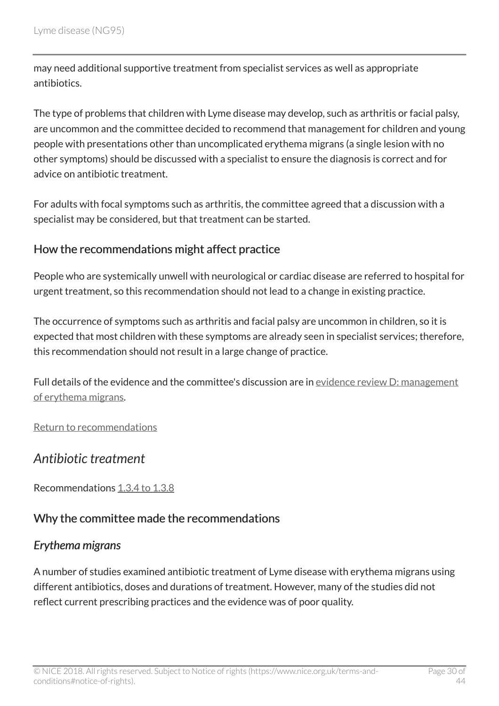may need additional supportive treatment from specialist services as well as appropriate antibiotics.

The type of problems that children with Lyme disease may develop, such as arthritis or facial palsy, are uncommon and the committee decided to recommend that management for children and young people with presentations other than uncomplicated erythema migrans (a single lesion with no other symptoms) should be discussed with a specialist to ensure the diagnosis is correct and for advice on antibiotic treatment.

For adults with focal symptoms such as arthritis, the committee agreed that a discussion with a specialist may be considered, but that treatment can be started.

#### How the recommendations might affect practice

People who are systemically unwell with neurological or cardiac disease are referred to hospital for urgent treatment, so this recommendation should not lead to a change in existing practice.

The occurrence of symptoms such as arthritis and facial palsy are uncommon in children, so it is expected that most children with these symptoms are already seen in specialist services; therefore, this recommendation should not result in a large change of practice.

Full details of the evidence and the committee's discussion are in [evidence review](https://www.nice.org.uk/guidance/ng95/evidence/d-management-of-erythema-migrans-pdf-4792271010) D: management [of erythema migrans.](https://www.nice.org.uk/guidance/ng95/evidence/d-management-of-erythema-migrans-pdf-4792271010)

[Return to recommendations](http://live-publications.nice.org.uk/recommendations#emergency-referral)

### <span id="page-29-0"></span>*Antibiotic treatment*

Recommendations [1.3.4 to 1.3.8](http://live-publications.nice.org.uk/recommendations#antibiotic-treatment)

#### Why the committee made the recommendations

#### *Erythema migrans*

A number of studies examined antibiotic treatment of Lyme disease with erythema migrans using different antibiotics, doses and durations of treatment. However, many of the studies did not reflect current prescribing practices and the evidence was of poor quality.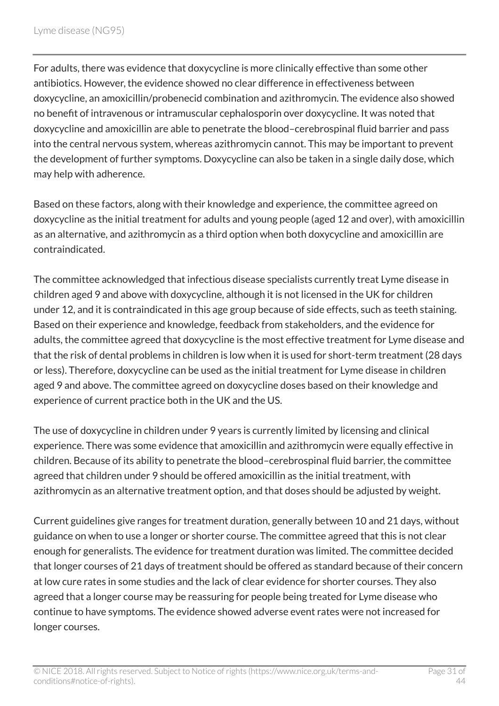For adults, there was evidence that doxycycline is more clinically effective than some other antibiotics. However, the evidence showed no clear difference in effectiveness between doxycycline, an amoxicillin/probenecid combination and azithromycin. The evidence also showed no benefit of intravenous or intramuscular cephalosporin over doxycycline. It was noted that doxycycline and amoxicillin are able to penetrate the blood–cerebrospinal fluid barrier and pass into the central nervous system, whereas azithromycin cannot. This may be important to prevent the development of further symptoms. Doxycycline can also be taken in a single daily dose, which may help with adherence.

Based on these factors, along with their knowledge and experience, the committee agreed on doxycycline as the initial treatment for adults and young people (aged 12 and over), with amoxicillin as an alternative, and azithromycin as a third option when both doxycycline and amoxicillin are contraindicated.

The committee acknowledged that infectious disease specialists currently treat Lyme disease in children aged 9 and above with doxycycline, although it is not licensed in the UK for children under 12, and it is contraindicated in this age group because of side effects, such as teeth staining. Based on their experience and knowledge, feedback from stakeholders, and the evidence for adults, the committee agreed that doxycycline is the most effective treatment for Lyme disease and that the risk of dental problems in children is low when it is used for short-term treatment (28 days or less). Therefore, doxycycline can be used as the initial treatment for Lyme disease in children aged 9 and above. The committee agreed on doxycycline doses based on their knowledge and experience of current practice both in the UK and the US.

The use of doxycycline in children under 9 years is currently limited by licensing and clinical experience. There was some evidence that amoxicillin and azithromycin were equally effective in children. Because of its ability to penetrate the blood–cerebrospinal fluid barrier, the committee agreed that children under 9 should be offered amoxicillin as the initial treatment, with azithromycin as an alternative treatment option, and that doses should be adjusted by weight.

Current guidelines give ranges for treatment duration, generally between 10 and 21 days, without guidance on when to use a longer or shorter course. The committee agreed that this is not clear enough for generalists. The evidence for treatment duration was limited. The committee decided that longer courses of 21 days of treatment should be offered as standard because of their concern at low cure rates in some studies and the lack of clear evidence for shorter courses. They also agreed that a longer course may be reassuring for people being treated for Lyme disease who continue to have symptoms. The evidence showed adverse event rates were not increased for longer courses.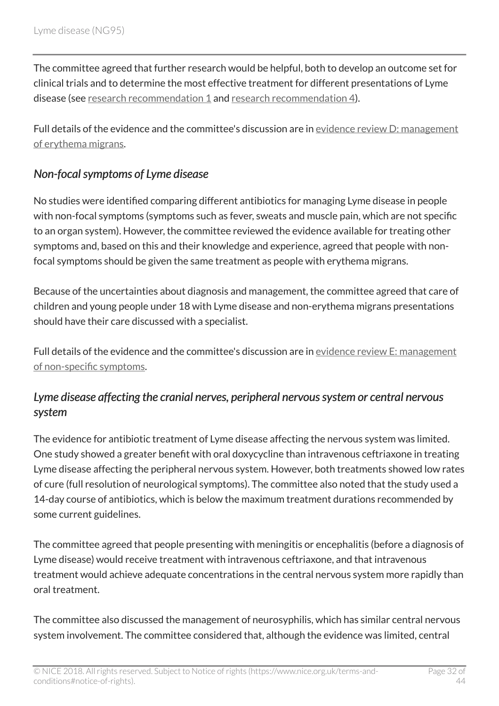The committee agreed that further research would be helpful, both to develop an outcome set for clinical trials and to determine the most effective treatment for different presentations of Lyme disease (see [research recommendation](http://live-publications.nice.org.uk/recommendations-for-research#1-core-outcome-set-for-studies-of-management-of-lyme-disease) 1 and [research recommendation](http://live-publications.nice.org.uk/recommendations-for-research#4-antimicrobial-management-of-lyme-disease) 4).

Full details of the evidence and the committee's discussion are in [evidence review](https://www.nice.org.uk/guidance/ng95/evidence/d-management-of-erythema-migrans-pdf-4792271010) D: management [of erythema migrans.](https://www.nice.org.uk/guidance/ng95/evidence/d-management-of-erythema-migrans-pdf-4792271010)

### *Non-focal symptoms of Lyme disease*

No studies were identified comparing different antibiotics for managing Lyme disease in people with non-focal symptoms (symptoms such as fever, sweats and muscle pain, which are not specific to an organ system). However, the committee reviewed the evidence available for treating other symptoms and, based on this and their knowledge and experience, agreed that people with nonfocal symptoms should be given the same treatment as people with erythema migrans.

Because of the uncertainties about diagnosis and management, the committee agreed that care of children and young people under 18 with Lyme disease and non-erythema migrans presentations should have their care discussed with a specialist.

Full details of the evidence and the committee's discussion are in [evidence review](https://www.nice.org.uk/guidance/ng95/evidence/e-management-of-nonspecific-symptoms-related-to-lyme-disease-pdf-4792271011) E: management [of non-specific symptoms.](https://www.nice.org.uk/guidance/ng95/evidence/e-management-of-nonspecific-symptoms-related-to-lyme-disease-pdf-4792271011)

### *Lyme disease affecting the cranial nerves, peripheral nervous system or central nervous system*

The evidence for antibiotic treatment of Lyme disease affecting the nervous system was limited. One study showed a greater benefit with oral doxycycline than intravenous ceftriaxone in treating Lyme disease affecting the peripheral nervous system. However, both treatments showed low rates of cure (full resolution of neurological symptoms). The committee also noted that the study used a 14-day course of antibiotics, which is below the maximum treatment durations recommended by some current guidelines.

The committee agreed that people presenting with meningitis or encephalitis (before a diagnosis of Lyme disease) would receive treatment with intravenous ceftriaxone, and that intravenous treatment would achieve adequate concentrations in the central nervous system more rapidly than oral treatment.

The committee also discussed the management of neurosyphilis, which has similar central nervous system involvement. The committee considered that, although the evidence was limited, central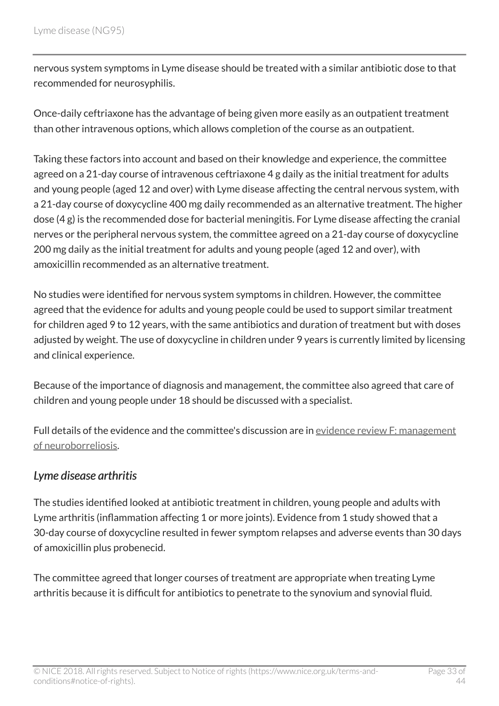nervous system symptoms in Lyme disease should be treated with a similar antibiotic dose to that recommended for neurosyphilis.

Once-daily ceftriaxone has the advantage of being given more easily as an outpatient treatment than other intravenous options, which allows completion of the course as an outpatient.

Taking these factors into account and based on their knowledge and experience, the committee agreed on a 21-day course of intravenous ceftriaxone 4 g daily as the initial treatment for adults and young people (aged 12 and over) with Lyme disease affecting the central nervous system, with a 21-day course of doxycycline 400 mg daily recommended as an alternative treatment. The higher dose (4 g) is the recommended dose for bacterial meningitis. For Lyme disease affecting the cranial nerves or the peripheral nervous system, the committee agreed on a 21-day course of doxycycline 200 mg daily as the initial treatment for adults and young people (aged 12 and over), with amoxicillin recommended as an alternative treatment.

No studies were identified for nervous system symptoms in children. However, the committee agreed that the evidence for adults and young people could be used to support similar treatment for children aged 9 to 12 years, with the same antibiotics and duration of treatment but with doses adjusted by weight. The use of doxycycline in children under 9 years is currently limited by licensing and clinical experience.

Because of the importance of diagnosis and management, the committee also agreed that care of children and young people under 18 should be discussed with a specialist.

Full details of the evidence and the committee's discussion are in [evidence review](https://www.nice.org.uk/guidance/ng95/evidence/f-management-of-neuroborreliosis-pdf-4792271012) F: management [of neuroborreliosis.](https://www.nice.org.uk/guidance/ng95/evidence/f-management-of-neuroborreliosis-pdf-4792271012)

#### *Lyme disease arthritis*

The studies identified looked at antibiotic treatment in children, young people and adults with Lyme arthritis (inflammation affecting 1 or more joints). Evidence from 1 study showed that a 30-day course of doxycycline resulted in fewer symptom relapses and adverse events than 30 days of amoxicillin plus probenecid.

The committee agreed that longer courses of treatment are appropriate when treating Lyme arthritis because it is difficult for antibiotics to penetrate to the synovium and synovial fluid.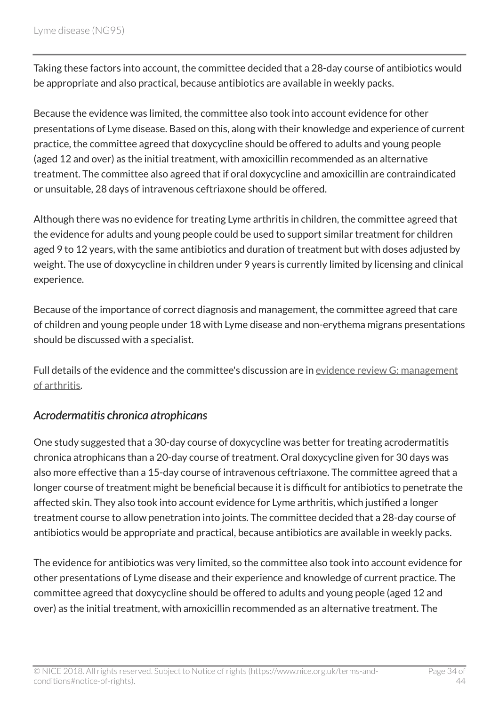Taking these factors into account, the committee decided that a 28-day course of antibiotics would be appropriate and also practical, because antibiotics are available in weekly packs.

Because the evidence was limited, the committee also took into account evidence for other presentations of Lyme disease. Based on this, along with their knowledge and experience of current practice, the committee agreed that doxycycline should be offered to adults and young people (aged 12 and over) as the initial treatment, with amoxicillin recommended as an alternative treatment. The committee also agreed that if oral doxycycline and amoxicillin are contraindicated or unsuitable, 28 days of intravenous ceftriaxone should be offered.

Although there was no evidence for treating Lyme arthritis in children, the committee agreed that the evidence for adults and young people could be used to support similar treatment for children aged 9 to 12 years, with the same antibiotics and duration of treatment but with doses adjusted by weight. The use of doxycycline in children under 9 years is currently limited by licensing and clinical experience.

Because of the importance of correct diagnosis and management, the committee agreed that care of children and young people under 18 with Lyme disease and non-erythema migrans presentations should be discussed with a specialist.

Full details of the evidence and the committee's discussion are in [evidence review](https://www.nice.org.uk/guidance/ng95/evidence/g-management-of-lyme-arthritis-pdf-4792271013) G: management [of arthritis.](https://www.nice.org.uk/guidance/ng95/evidence/g-management-of-lyme-arthritis-pdf-4792271013)

#### *Acrodermatitis chronica atrophicans*

One study suggested that a 30-day course of doxycycline was better for treating acrodermatitis chronica atrophicans than a 20-day course of treatment. Oral doxycycline given for 30 days was also more effective than a 15-day course of intravenous ceftriaxone. The committee agreed that a longer course of treatment might be beneficial because it is difficult for antibiotics to penetrate the affected skin. They also took into account evidence for Lyme arthritis, which justified a longer treatment course to allow penetration into joints. The committee decided that a 28-day course of antibiotics would be appropriate and practical, because antibiotics are available in weekly packs.

The evidence for antibiotics was very limited, so the committee also took into account evidence for other presentations of Lyme disease and their experience and knowledge of current practice. The committee agreed that doxycycline should be offered to adults and young people (aged 12 and over) as the initial treatment, with amoxicillin recommended as an alternative treatment. The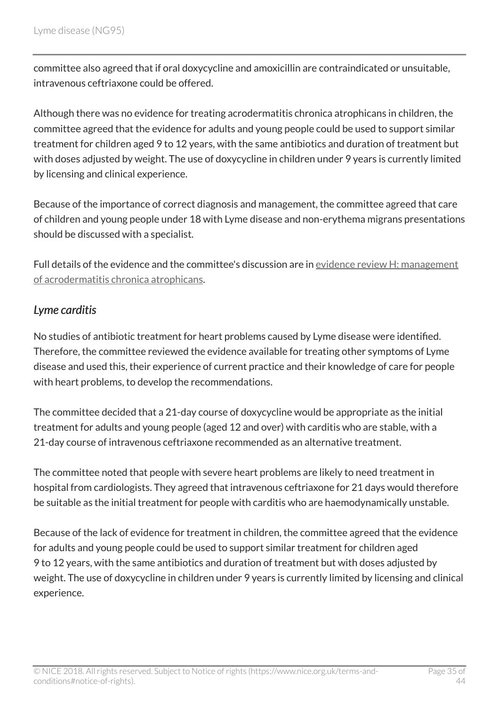committee also agreed that if oral doxycycline and amoxicillin are contraindicated or unsuitable, intravenous ceftriaxone could be offered.

Although there was no evidence for treating acrodermatitis chronica atrophicans in children, the committee agreed that the evidence for adults and young people could be used to support similar treatment for children aged 9 to 12 years, with the same antibiotics and duration of treatment but with doses adjusted by weight. The use of doxycycline in children under 9 years is currently limited by licensing and clinical experience.

Because of the importance of correct diagnosis and management, the committee agreed that care of children and young people under 18 with Lyme disease and non-erythema migrans presentations should be discussed with a specialist.

Full details of the evidence and the committee's discussion are in [evidence review](https://www.nice.org.uk/guidance/ng95/evidence/h-management-of-acrodermatitis-chronica-atrophicans-pdf-172521756180) H: management [of acrodermatitis chronica atrophicans](https://www.nice.org.uk/guidance/ng95/evidence/h-management-of-acrodermatitis-chronica-atrophicans-pdf-172521756180).

#### *Lyme carditis*

No studies of antibiotic treatment for heart problems caused by Lyme disease were identified. Therefore, the committee reviewed the evidence available for treating other symptoms of Lyme disease and used this, their experience of current practice and their knowledge of care for people with heart problems, to develop the recommendations.

The committee decided that a 21-day course of doxycycline would be appropriate as the initial treatment for adults and young people (aged 12 and over) with carditis who are stable, with a 21-day course of intravenous ceftriaxone recommended as an alternative treatment.

The committee noted that people with severe heart problems are likely to need treatment in hospital from cardiologists. They agreed that intravenous ceftriaxone for 21 days would therefore be suitable as the initial treatment for people with carditis who are haemodynamically unstable.

Because of the lack of evidence for treatment in children, the committee agreed that the evidence for adults and young people could be used to support similar treatment for children aged 9 to 12 years, with the same antibiotics and duration of treatment but with doses adjusted by weight. The use of doxycycline in children under 9 years is currently limited by licensing and clinical experience.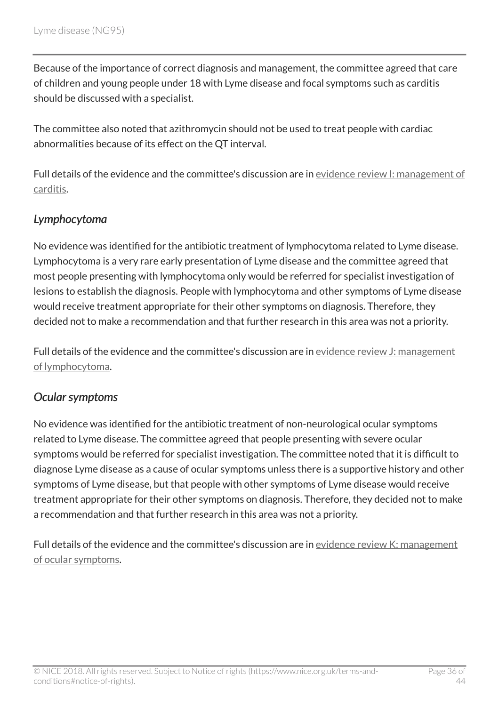Because of the importance of correct diagnosis and management, the committee agreed that care of children and young people under 18 with Lyme disease and focal symptoms such as carditis should be discussed with a specialist.

The committee also noted that azithromycin should not be used to treat people with cardiac abnormalities because of its effect on the QT interval.

Full details of the evidence and the committee's discussion are in evidence review [I: management of](https://www.nice.org.uk/guidance/ng95/evidence/i-management-of-lyme-carditis-pdf-172521756181) [carditis](https://www.nice.org.uk/guidance/ng95/evidence/i-management-of-lyme-carditis-pdf-172521756181).

### *Lymphocytoma*

No evidence was identified for the antibiotic treatment of lymphocytoma related to Lyme disease. Lymphocytoma is a very rare early presentation of Lyme disease and the committee agreed that most people presenting with lymphocytoma only would be referred for specialist investigation of lesions to establish the diagnosis. People with lymphocytoma and other symptoms of Lyme disease would receive treatment appropriate for their other symptoms on diagnosis. Therefore, they decided not to make a recommendation and that further research in this area was not a priority.

Full details of the evidence and the committee's discussion are in [evidence review](https://www.nice.org.uk/guidance/ng95/evidence/j-management-of-lymphocytoma-pdf-172521756182) J: management [of lymphocytoma.](https://www.nice.org.uk/guidance/ng95/evidence/j-management-of-lymphocytoma-pdf-172521756182)

#### *Ocular symptoms*

No evidence was identified for the antibiotic treatment of non-neurological ocular symptoms related to Lyme disease. The committee agreed that people presenting with severe ocular symptoms would be referred for specialist investigation. The committee noted that it is difficult to diagnose Lyme disease as a cause of ocular symptoms unless there is a supportive history and other symptoms of Lyme disease, but that people with other symptoms of Lyme disease would receive treatment appropriate for their other symptoms on diagnosis. Therefore, they decided not to make a recommendation and that further research in this area was not a priority.

Full details of the evidence and the committee's discussion are in [evidence review](https://www.nice.org.uk/guidance/ng95/evidence/k-management-of-nonneurological-ocular-manifestations-pdf-172521756183) K: management [of ocular symptoms](https://www.nice.org.uk/guidance/ng95/evidence/k-management-of-nonneurological-ocular-manifestations-pdf-172521756183).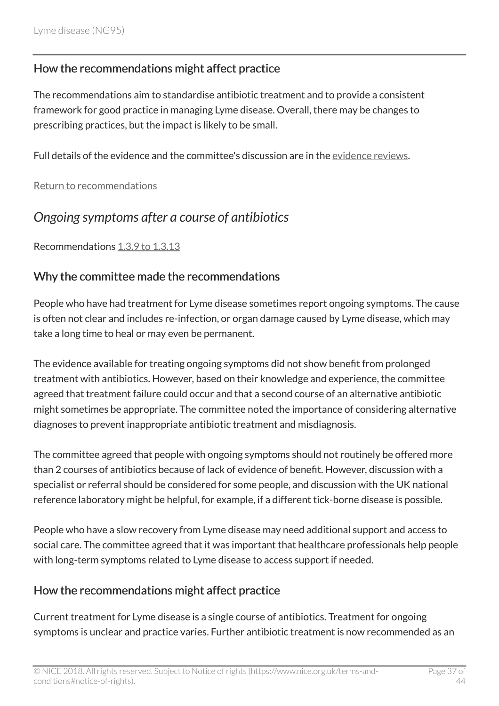#### How the recommendations might affect practice

The recommendations aim to standardise antibiotic treatment and to provide a consistent framework for good practice in managing Lyme disease. Overall, there may be changes to prescribing practices, but the impact is likely to be small.

Full details of the evidence and the committee's discussion are in the [evidence reviews](https://www.nice.org.uk/guidance/ng95/evidence/march-2018-evidence-reviews-4792271005).

[Return to recommendations](http://live-publications.nice.org.uk/recommendations#antibiotic-treatment)

### <span id="page-36-0"></span>*Ongoing symptoms after a course of antibiotics*

Recommendations [1.3.9 to 1.3.13](http://live-publications.nice.org.uk/recommendations#ongoing-symptoms-after-a-course-of-antibiotics)

#### Why the committee made the recommendations

People who have had treatment for Lyme disease sometimes report ongoing symptoms. The cause is often not clear and includes re-infection, or organ damage caused by Lyme disease, which may take a long time to heal or may even be permanent.

The evidence available for treating ongoing symptoms did not show benefit from prolonged treatment with antibiotics. However, based on their knowledge and experience, the committee agreed that treatment failure could occur and that a second course of an alternative antibiotic might sometimes be appropriate. The committee noted the importance of considering alternative diagnoses to prevent inappropriate antibiotic treatment and misdiagnosis.

The committee agreed that people with ongoing symptoms should not routinely be offered more than 2 courses of antibiotics because of lack of evidence of benefit. However, discussion with a specialist or referral should be considered for some people, and discussion with the UK national reference laboratory might be helpful, for example, if a different tick-borne disease is possible.

People who have a slow recovery from Lyme disease may need additional support and access to social care. The committee agreed that it was important that healthcare professionals help people with long-term symptoms related to Lyme disease to access support if needed.

#### How the recommendations might affect practice

Current treatment for Lyme disease is a single course of antibiotics. Treatment for ongoing symptoms is unclear and practice varies. Further antibiotic treatment is now recommended as an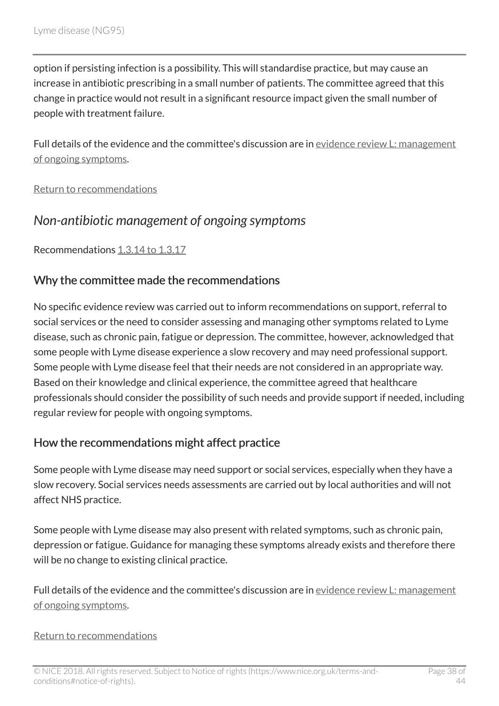option if persisting infection is a possibility. This will standardise practice, but may cause an increase in antibiotic prescribing in a small number of patients. The committee agreed that this change in practice would not result in a significant resource impact given the small number of people with treatment failure.

Full details of the evidence and the committee's discussion are in [evidence review](https://www.nice.org.uk/guidance/ng95/evidence/l-management-of-ongoing-symptoms-related-to-lyme-disease-pdf-172521756184) L: management [of ongoing symptoms](https://www.nice.org.uk/guidance/ng95/evidence/l-management-of-ongoing-symptoms-related-to-lyme-disease-pdf-172521756184).

[Return to recommendations](http://live-publications.nice.org.uk/recommendations#ongoing-symptoms-after-a-course-of-antibiotics)

### <span id="page-37-0"></span>*Non-antibiotic management of ongoing symptoms*

Recommendations [1.3.14 to 1.3.17](http://live-publications.nice.org.uk/recommendations#non-antibiotic-management-of-ongoing-symptoms)

#### Why the committee made the recommendations

No specific evidence review was carried out to inform recommendations on support, referral to social services or the need to consider assessing and managing other symptoms related to Lyme disease, such as chronic pain, fatigue or depression. The committee, however, acknowledged that some people with Lyme disease experience a slow recovery and may need professional support. Some people with Lyme disease feel that their needs are not considered in an appropriate way. Based on their knowledge and clinical experience, the committee agreed that healthcare professionals should consider the possibility of such needs and provide support if needed, including regular review for people with ongoing symptoms.

#### How the recommendations might affect practice

Some people with Lyme disease may need support or social services, especially when they have a slow recovery. Social services needs assessments are carried out by local authorities and will not affect NHS practice.

Some people with Lyme disease may also present with related symptoms, such as chronic pain, depression or fatigue. Guidance for managing these symptoms already exists and therefore there will be no change to existing clinical practice.

Full details of the evidence and the committee's discussion are in [evidence review](https://www.nice.org.uk/guidance/ng95/evidence/l-management-of-ongoing-symptoms-related-to-lyme-disease-pdf-172521756184) L: management [of ongoing symptoms](https://www.nice.org.uk/guidance/ng95/evidence/l-management-of-ongoing-symptoms-related-to-lyme-disease-pdf-172521756184).

#### [Return to recommendations](http://live-publications.nice.org.uk/recommendations#non-antibiotic-management-of-ongoing-symptoms)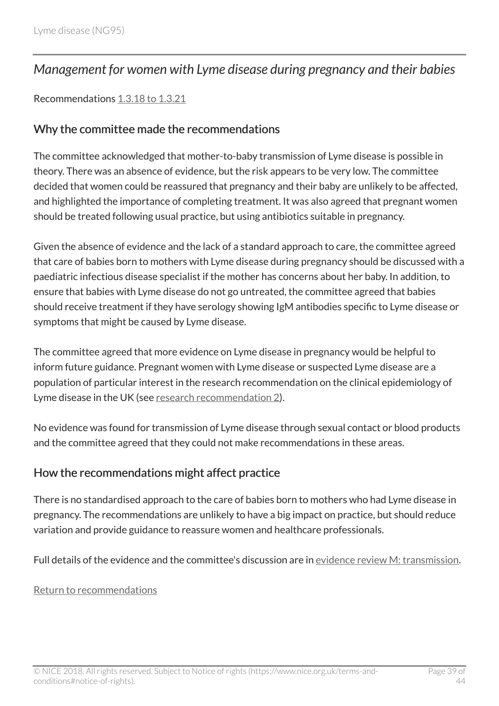### <span id="page-38-0"></span>*Management for women with Lyme disease during pregnancy and their babies*

#### Recommendations [1.3.18 to 1.3.21](http://live-publications.nice.org.uk/recommendations#management-for-women-with-lyme-disease-during-pregnancy-and-their-babies)

#### Why the committee made the recommendations

The committee acknowledged that mother-to-baby transmission of Lyme disease is possible in theory. There was an absence of evidence, but the risk appears to be very low. The committee decided that women could be reassured that pregnancy and their baby are unlikely to be affected, and highlighted the importance of completing treatment. It was also agreed that pregnant women should be treated following usual practice, but using antibiotics suitable in pregnancy.

Given the absence of evidence and the lack of a standard approach to care, the committee agreed that care of babies born to mothers with Lyme disease during pregnancy should be discussed with a paediatric infectious disease specialist if the mother has concerns about her baby. In addition, to ensure that babies with Lyme disease do not go untreated, the committee agreed that babies should receive treatment if they have serology showing IgM antibodies specific to Lyme disease or symptoms that might be caused by Lyme disease.

The committee agreed that more evidence on Lyme disease in pregnancy would be helpful to inform future guidance. Pregnant women with Lyme disease or suspected Lyme disease are a population of particular interest in the research recommendation on the clinical epidemiology of Lyme disease in the UK (see [research recommendation](http://live-publications.nice.org.uk/recommendations-for-research#2-clinical-epidemiology-of-lyme-disease-in-the-uk) 2).

No evidence was found for transmission of Lyme disease through sexual contact or blood products and the committee agreed that they could not make recommendations in these areas.

#### How the recommendations might affect practice

There is no standardised approach to the care of babies born to mothers who had Lyme disease in pregnancy. The recommendations are unlikely to have a big impact on practice, but should reduce variation and provide guidance to reassure women and healthcare professionals.

Full details of the evidence and the committee's discussion are in [evidence review](https://www.nice.org.uk/guidance/ng95/evidence/m-persontoperson-transmission-pdf-172521756185) M: transmission.

#### [Return to recommendations](http://live-publications.nice.org.uk/recommendations#management-for-women-with-lyme-disease-during-pregnancy-and-their-babies)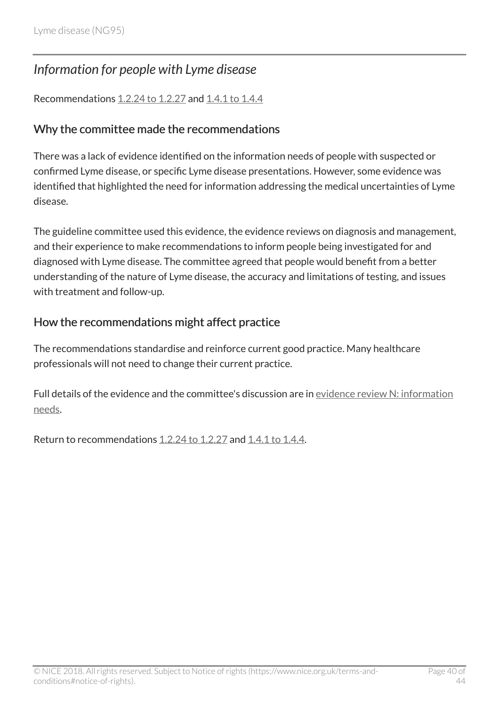### <span id="page-39-0"></span>*Information for people with Lyme disease*

Recommendations [1.2.24 to 1.2.27](http://live-publications.nice.org.uk/recommendations#information-for-people-being-tested-for-lyme-disease) and [1.4.1 to 1.4.4](http://live-publications.nice.org.uk/recommendations#information-for-people-with-lyme-disease)

#### Why the committee made the recommendations

There was a lack of evidence identified on the information needs of people with suspected or confirmed Lyme disease, or specific Lyme disease presentations. However, some evidence was identified that highlighted the need for information addressing the medical uncertainties of Lyme disease.

The guideline committee used this evidence, the evidence reviews on diagnosis and management, and their experience to make recommendations to inform people being investigated for and diagnosed with Lyme disease. The committee agreed that people would benefit from a better understanding of the nature of Lyme disease, the accuracy and limitations of testing, and issues with treatment and follow-up.

#### How the recommendations might affect practice

The recommendations standardise and reinforce current good practice. Many healthcare professionals will not need to change their current practice.

Full details of the evidence and the committee's discussion are in [evidence review](https://www.nice.org.uk/guidance/ng95/evidence/n-information-needs-pdf-172521756186) N: information [needs](https://www.nice.org.uk/guidance/ng95/evidence/n-information-needs-pdf-172521756186).

Return to recommendations [1.2.24 to 1.2.27](http://live-publications.nice.org.uk/recommendations#information-for-people-being-tested-for-lyme-disease) and [1.4.1 to 1.4.4](http://live-publications.nice.org.uk/recommendations#information-for-people-with-lyme-disease).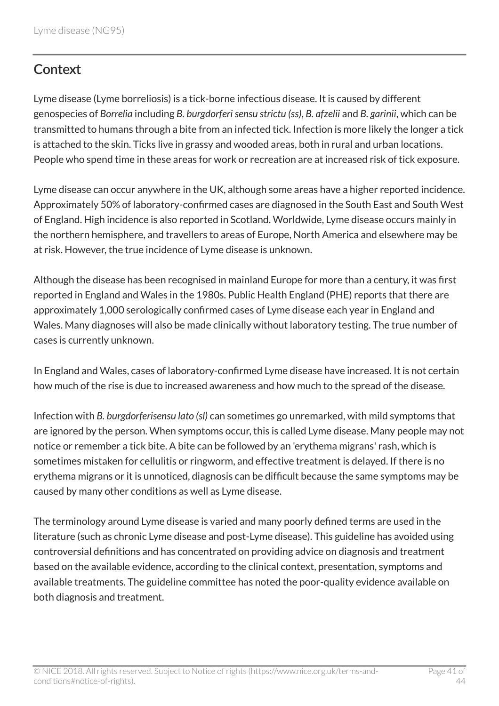# <span id="page-40-0"></span>**Context**

Lyme disease (Lyme borreliosis) is a tick-borne infectious disease. It is caused by different genospecies of *Borrelia* including *B. burgdorferi sensu strictu (ss)*, *B. afzelii* and *B. garinii*, which can be transmitted to humans through a bite from an infected tick. Infection is more likely the longer a tick is attached to the skin. Ticks live in grassy and wooded areas, both in rural and urban locations. People who spend time in these areas for work or recreation are at increased risk of tick exposure.

Lyme disease can occur anywhere in the UK, although some areas have a higher reported incidence. Approximately 50% of laboratory-confirmed cases are diagnosed in the South East and South West of England. High incidence is also reported in Scotland. Worldwide, Lyme disease occurs mainly in the northern hemisphere, and travellers to areas of Europe, North America and elsewhere may be at risk. However, the true incidence of Lyme disease is unknown.

Although the disease has been recognised in mainland Europe for more than a century, it was first reported in England and Wales in the 1980s. Public Health England (PHE) reports that there are approximately 1,000 serologically confirmed cases of Lyme disease each year in England and Wales. Many diagnoses will also be made clinically without laboratory testing. The true number of cases is currently unknown.

In England and Wales, cases of laboratory-confirmed Lyme disease have increased. It is not certain how much of the rise is due to increased awareness and how much to the spread of the disease.

Infection with *B. burgdorferisensu lato (sl)* can sometimes go unremarked, with mild symptoms that are ignored by the person. When symptoms occur, this is called Lyme disease. Many people may not notice or remember a tick bite. A bite can be followed by an 'erythema migrans' rash, which is sometimes mistaken for cellulitis or ringworm, and effective treatment is delayed. If there is no erythema migrans or it is unnoticed, diagnosis can be difficult because the same symptoms may be caused by many other conditions as well as Lyme disease.

The terminology around Lyme disease is varied and many poorly defined terms are used in the literature (such as chronic Lyme disease and post-Lyme disease). This guideline has avoided using controversial definitions and has concentrated on providing advice on diagnosis and treatment based on the available evidence, according to the clinical context, presentation, symptoms and available treatments. The guideline committee has noted the poor-quality evidence available on both diagnosis and treatment.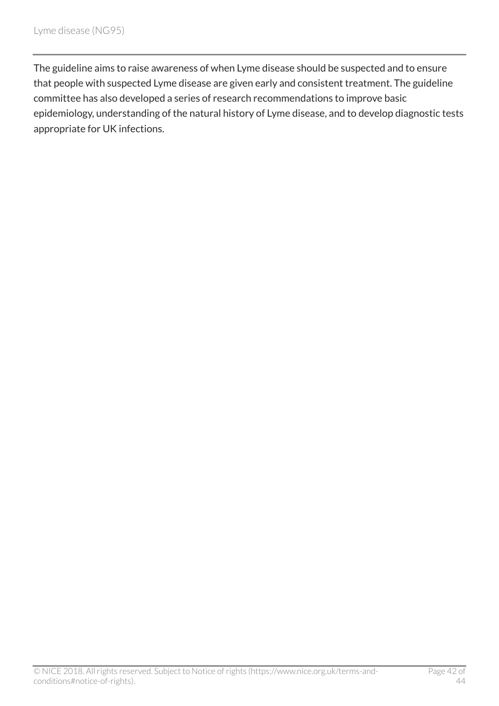The guideline aims to raise awareness of when Lyme disease should be suspected and to ensure that people with suspected Lyme disease are given early and consistent treatment. The guideline committee has also developed a series of research recommendations to improve basic epidemiology, understanding of the natural history of Lyme disease, and to develop diagnostic tests appropriate for UK infections.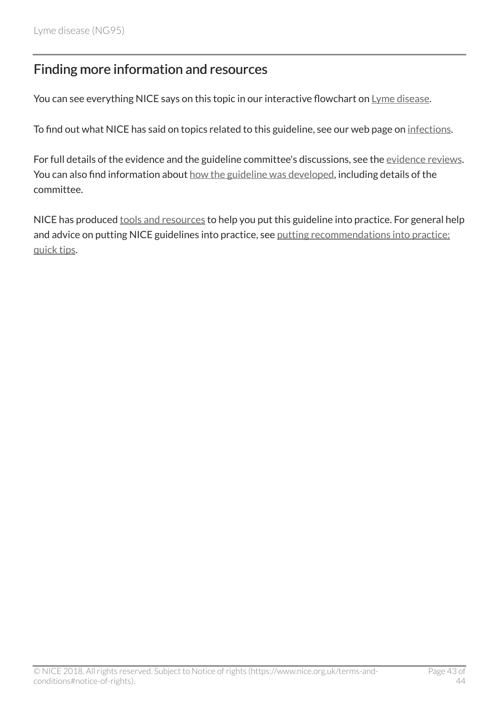# <span id="page-42-0"></span>Finding more information and resources

You can see everything NICE says on this topic in our interactive flowchart on [Lyme disease](https://pathways.nice.org.uk/pathways/lyme-disease).

To find out what NICE has said on topics related to this guideline, see our web page on [infections.](https://www.nice.org.uk/guidance/conditions-and-diseases/infections/infections--general-and-other)

For full details of the evidence and the guideline committee's discussions, see the [evidence reviews.](https://www.nice.org.uk/guidance/ng95/evidence/march-2018-evidence-reviews-4792271005) You can also find information about [how the guideline was developed](http://www.nice.org.uk/Guidance/NG95/documents), including details of the committee.

NICE has produced [tools and resources](http://www.nice.org.uk/guidance/ng95/resources) to help you put this guideline into practice. For general help and advice on putting NICE guidelines into practice, see [putting recommendations into practice:](https://www.nice.org.uk/about/what-we-do/into-practice/quick-tips) [quick tips](https://www.nice.org.uk/about/what-we-do/into-practice/quick-tips).